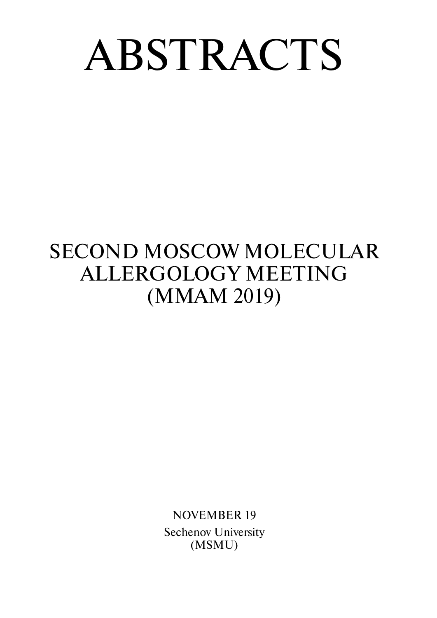# ABSTRACTS

## SECOND MOSCOW MOLECULAR ALLERGOLOGY MEETING (ММАМ 2019)

NOVEMBER 19 Sechenov University (MSMU)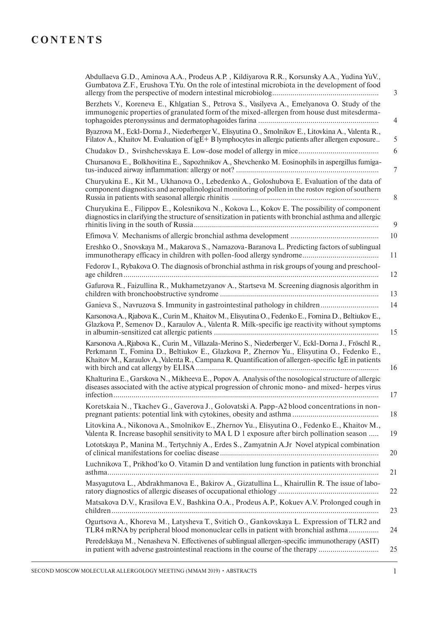## **CONTENTS**

| Abdullaeva G.D., Aminova A.A., Prodeus A.P., Kildiyarova R.R., Korsunsky A.A., Yudina YuV.,<br>Gumbatova Z.F., Erushova T.Yu. On the role of intestinal microbiota in the development of food<br>3                                                                                                              |
|-----------------------------------------------------------------------------------------------------------------------------------------------------------------------------------------------------------------------------------------------------------------------------------------------------------------|
| Berzhets V., Koreneva E., Khlgatian S., Petrova S., Vasilyeva A., Emelyanova O. Study of the<br>immunogenic properties of granulated form of the mixed-allergen from house dust mitesderma-<br>4                                                                                                                |
| Byazrova M., Eckl-Dorna J., Niederberger V., Elisyutina O., Smolnikov E., Litovkina A., Valenta R.,<br>5<br>Filatov A., Khaitov M. Evaluation of igE+ B lymphocytes in allergic patients after allergen exposure                                                                                                |
| 6                                                                                                                                                                                                                                                                                                               |
| Chursanova E., Bolkhovitina E., Sapozhnikov A., Shevchenko M. Eosinophils in aspergillus fumiga-<br>7                                                                                                                                                                                                           |
| Churyukina E., Kit M., Ukhanova O., Lebedenko A., Goloshubova E. Evaluation of the data of<br>component diagnostics and aeropalinological monitoring of pollen in the rostov region of southern<br>8                                                                                                            |
| Churyukina E., Filippov E., Kolesnikova N., Kokova L., Kokov E. The possibility of component<br>diagnostics in clarifying the structure of sensitization in patients with bronchial asthma and allergic<br>9                                                                                                    |
| 10                                                                                                                                                                                                                                                                                                              |
| Ereshko O., Snovskaya M., Makarova S., Namazova-Baranova L. Predicting factors of sublingual<br>11                                                                                                                                                                                                              |
| Fedorov I., Rybakova O. The diagnosis of bronchial asthma in risk groups of young and preschool-<br>12                                                                                                                                                                                                          |
| Gafurova R., Faizullina R., Mukhametzyanov A., Startseva M. Screening diagnosis algorithm in<br>13                                                                                                                                                                                                              |
| Ganieva S., Navruzova S. Immunity in gastrointestinal pathology in children<br>14                                                                                                                                                                                                                               |
| Karsonova A., Rjabova K., Curin M., Khaitov M., Elisyutina O., Fedenko E., Fomina D., Beltiukov E.,<br>Glazkova P., Semenov D., Karaulov A., Valenta R. Milk-specific ige reactivity without symptoms<br>15                                                                                                     |
| Karsonova A., Rjabova K., Curin M., Villazala-Merino S., Niederberger V., Eckl-Dorna J., Fröschl R.,<br>Perkmann T., Fomina D., Beltiukov E., Glazkova P., Zhernov Yu., Elisyutina O., Fedenko E.,<br>Khaitov M., Karaulov A., Valenta R., Campana R. Quantification of allergen-specific IgE in patients<br>16 |
| Khalturina E., Garskova N., Mikheeva E., Popov A. Analysis of the nosological structure of allergic<br>diseases associated with the active atypical progression of chronic mono- and mixed-herpes virus<br>17                                                                                                   |
| Koretskaia N., Tkachev G., Gaverova J., Golovatski A. Papp-A2 blood concentrations in non-<br>18                                                                                                                                                                                                                |
| Litovkina A., Nikonova A., Smolnikov E., Zhernov Yu., Elisyutina O., Fedenko E., Khaitov M.,<br>Valenta R. Increase basophil sensitivity to MA L D 1 exposure after birch pollination season<br>19                                                                                                              |
| Lototskaya P., Manina M., Tertychniy A., Erdes S., Zamyatnin A.Jr Novel atypical combination<br>20                                                                                                                                                                                                              |
| Luchnikova T., Prikhod'ko O. Vitamin D and ventilation lung function in patients with bronchial<br>21                                                                                                                                                                                                           |
| Masyagutova L., Abdrakhmanova E., Bakirov A., Gizatullina L., Khairullin R. The issue of labo-<br>22                                                                                                                                                                                                            |
| Matsakova D.V., Krasilova E.V., Bashkina O.A., Prodeus A.P., Kokuev A.V. Prolonged cough in<br>23                                                                                                                                                                                                               |
| Ogurtsova A., Khoreva M., Latysheva T., Svitich O., Gankovskaya L. Expression of TLR2 and<br>TLR4 mRNA by peripheral blood mononuclear cells in patient with bronchial asthma<br>24                                                                                                                             |
| Peredelskaya M., Nenasheva N. Effectivenes of sublingual allergen-specific immunotherapy (ASIT)<br>in patient with adverse gastrointestinal reactions in the course of the therapy<br>25                                                                                                                        |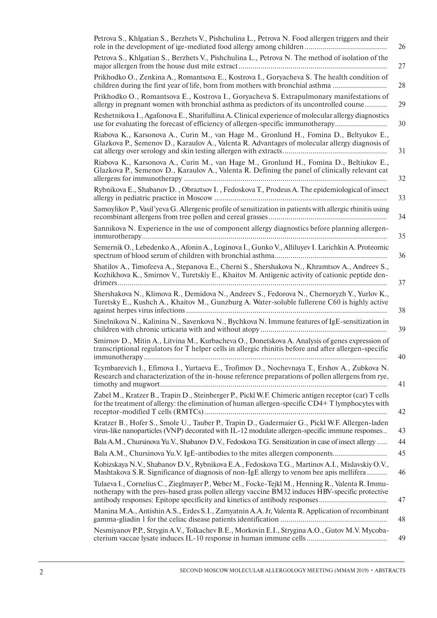| Petrova S., Khlgatian S., Berzhets V., Pishchulina L., Petrova N. Food allergen triggers and their<br>26                                                                                                      |
|---------------------------------------------------------------------------------------------------------------------------------------------------------------------------------------------------------------|
| Petrova S., Khlgatian S., Berzhets V., Pishchulina L., Petrova N. The method of isolation of the<br>27                                                                                                        |
| Prikhodko O., Zenkina A., Romantsova E., Kostrova I., Goryacheva S. The health condition of<br>children during the first year of life, born from mothers with bronchial asthma<br>28                          |
| Prikhodko O., Romantsova E., Kostrova I., Goryacheva S. Extrapulmonary manifestations of<br>allergy in pregnant women with bronchial asthma as predictors of its uncontrolled course<br>29                    |
| Reshetnikova I., Agafonova E., Sharifullina A. Clinical experience of molecular allergy diagnostics<br>use for evaluating the forecast of efficiency of allergen-specific immunotherapy<br>30                 |
| Riabova K., Karsonova A., Curin M., van Hage M., Gronlund H., Fomina D., Beltyukov E.,<br>Glazkova P., Semenov D., Karaulov A., Valenta R. Advantages of molecular allergy diagnosis of<br>31                 |
| Riabova K., Karsonova A., Curin M., van Hage M., Gronlund H., Fomina D., Beltiukov E.,<br>Glazkova P., Semenov D., Karaulov A., Valenta R. Defining the panel of clinically relevant cat<br>32                |
| Rybnikova E., Shabanov D., Obraztsov I., Fedoskova T., Prodeus A. The epidemiological of insect<br>33                                                                                                         |
| Samoylikov P., Vasil'yeva G. Allergenic profile of sensitization in patients with allergic rhinitis using<br>34                                                                                               |
| Sannikova N. Experience in the use of component allergy diagnostics before planning allergen-<br>35                                                                                                           |
| Semernik O., Lebedenko A., Afonin A., Loginova I., Gunko V., Alliluyev I. Larichkin A. Proteomic<br>36                                                                                                        |
| Shatilov A., Timofeeva A., Stepanova E., Cherni S., Shershakova N., Khramtsov A., Andreev S.,<br>Kozhikhova K., Smirnov V., Turetskiy E., Khaitov M. Antigenic activity of cationic peptide den-<br>37        |
| Shershakova N., Klimova R., Demidova N., Andreev S., Fedorova N., Chernoryzh Y., Yurlov K.,<br>Turetsky E., Kushch A., Khaitov M., Gunzburg A. Water-soluble fullerene C60 is highly active<br>38             |
| Sinelnikova N., Kalinina N., Savenkova N., Bychkova N. Immune features of IgE-sensitization in<br>39                                                                                                          |
| Smirnov D., Mitin A., Litvina M., Kurbacheva O., Donetskova A. Analysis of genes expression of<br>transcriptional regulators for T helper cells in allergic rhinitis before and after allergen-specific<br>40 |
| Tcymbarevich I., Efimova I., Yurtaeva E., Trofimov D., Nochevnaya T., Ershov A., Zubkova N.<br>Research and characterization of the in-house reference preparations of pollen allergens from rye,<br>41       |
| Zabel M., Kratzer B., Trapin D., Steinberger P., Pickl W.F. Chimeric antigen receptor (car) T cells<br>for the treatment of allergy: the elimination of human allergen-specific CD4+T lymphocytes with<br>42  |
| Kratzer B., Hofer S., Smole U., Tauber P., Trapin D., Gadermaier G., Pickl W.F. Allergen-laden<br>virus-like nanoparticles (VNP) decorated with IL-12 modulate allergen-specific immune responses<br>43       |
| Bala A.M., Chursinova Yu.V., Shabanov D.V., Fedoskova T.G. Sensitization in case of insect allergy<br>44                                                                                                      |
| 45<br>Bala A.M., Chursinova Yu.V. IgE-antibodies to the mites allergen components                                                                                                                             |
| Kobizskaya N.V., Shabanov D.V., Rybnikova E.A., Fedoskova T.G., Martinov A.I., Mislavskiy O.V.,<br>Mashtakova S.R. Significance of diagnosis of non-IgE allergy to venom bee apis mellifera<br>46             |
| Tulaeva I., Cornelius C., Zieglmayer P., Weber M., Focke-Tejkl M., Henning R., Valenta R. Immu-<br>notherapy with the pres-based grass pollen allergy vaccine BM32 induces HBV-specific protective<br>47      |
| Manina M.A., Antishin A.S., Erdes S.I., Zamyatnin A.A. Jr, Valenta R. Application of recombinant<br>48                                                                                                        |
| Nesmiyanov P.P., Strygin A.V., Tolkachev B.E., Morkovin E.I., Strygina A.O., Gutov M.V. Mycoba-<br>49                                                                                                         |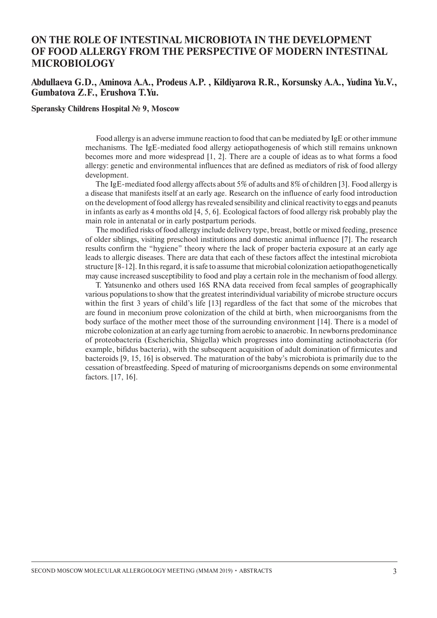## **ON THE ROLE OF INTESTINAL MICROBIOTA IN THE DEVELOPMENT OF FOOD ALLERGY FROM THE PERSPECTIVE OF MODERN INTESTINAL MICROBIOLOGY**

#### **Abdullaeva G.D., Aminova A.A., Prodeus A.P. , Kildiyarova R.R., Korsunsky A.A., Yudina Yu.V., Gumbatova Z.F., Erushova T.Yu.**

#### **Speransky Childrens Hospital № 9, Moscow**

Food allergy is an adverse immune reaction to food that can be mediated by IgE or other immune mechanisms. The IgE-mediated food allergy aetiopathogenesis of which still remains unknown becomes more and more widespread [1, 2]. There are a couple of ideas as to what forms a food allergy: genetic and environmental influences that are defined as mediators of risk of food allergy development.

The IgE-mediated food allergy affects about 5% of adults and 8% of children [3]. Food allergy is a disease that manifests itself at an early age. Research on the influence of early food introduction on the development of food allergy has revealed sensibility and clinical reactivity to eggs and peanuts in infants as early as 4 months old [4, 5, 6]. Ecological factors of food allergy risk probably play the main role in antenatal or in early postpartum periods.

The modified risks of food allergy include delivery type, breast, bottle or mixed feeding, presence of older siblings, visiting preschool institutions and domestic animal influence [7]. The research results confirm the "hygiene" theory where the lack of proper bacteria exposure at an early age leads to allergic diseases. There are data that each of these factors affect the intestinal microbiota structure [8-12]. In this regard, it is safe to assume that microbial colonization aetiopathogenetically may cause increased susceptibility to food and play a certain role in the mechanism of food allergy.

T. Yatsunenko and others used 16S RNA data received from fecal samples of geographically various populations to show that the greatest interindividual variability of microbe structure occurs within the first 3 years of child's life [13] regardless of the fact that some of the microbes that are found in meconium prove colonization of the child at birth, when microorganisms from the body surface of the mother meet those of the surrounding environment [14]. There is a model of microbe colonization at an early age turning from aerobic to anaerobic. In newborns predominance of proteobacteria (Escherichia, Shigella) which progresses into dominating actinobacteria (for example, bifidus bacteria), with the subsequent acquisition of adult domination of firmicutes and bacteroids [9, 15, 16] is observed. The maturation of the baby's microbiota is primarily due to the cessation of breastfeeding. Speed of maturing of microorganisms depends on some environmental factors. [17, 16].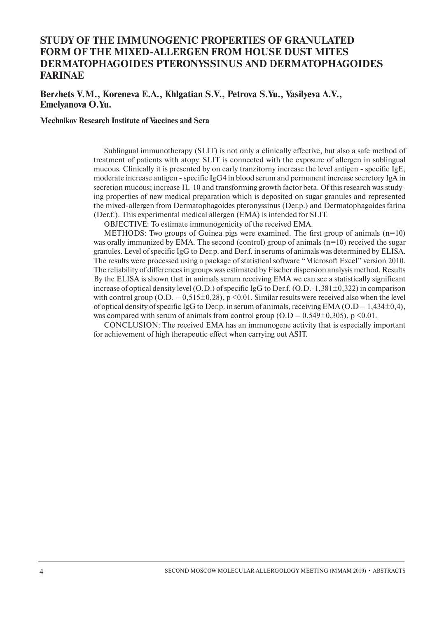## **STUDY OF THE IMMUNOGENIC PROPERTIES OF GRANULATED FORM OF THE MIXED-ALLERGEN FROM HOUSE DUST MITES DERMATOPHAGOIDES PTERONYSSINUS AND DERMATOPHAGOIDES FARINAE**

#### **Berzhets V.M., Koreneva E.A., Khlgatian S.V., Petrovа S.Yu., Vasilyeva A.V., Emelyanova O.Yu.**

**Mechnikov Research Institute of Vaccines and Sera**

Sublingual immunotherapy (SLIT) is not only a clinically effective, but also a safe method of treatment of patients with atopy. SLIT is connected with the exposure of allergen in sublingual mucous. Clinically it is presented by on early tranzitorny increase the level antigen - specific IgE, moderate increase antigen - specific IgG4 in blood serum and permanent increase secretory IgA in secretion mucous; increase IL-10 and transforming growth factor beta. Of this research was studying properties of new medical preparation which is deposited on sugar granules and represented the mixed-allergen from Dermatophagoides pteronyssinus (Der.p.) and Dermatophagoides farina (Der.f.). This experimental medical allergen (EMA) is intended for SLIT.

OBJECTIVE: To estimate immunogenicity of the received EMA.

METHODS: Two groups of Guinea pigs were examined. The first group of animals  $(n=10)$ was orally immunized by EMA. The second (control) group of animals (n=10) received the sugar granules. Level of specific IgG to Der.p. and Der.f. in serums of animals was determined by ELISA. The results were processed using a package of statistical software "Microsoft Excel" version 2010. The reliability of differences in groups was estimated by Fischer dispersion analysis method. Results By the ELISA is shown that in animals serum receiving EMA we can see a statistically significant increase of optical density level (O.D.) of specific IgG to Der.f. (O.D.-1,381±0,322) in comparison with control group (O.D.  $-0.515\pm0.28$ ), p <0.01. Similar results were received also when the level of optical density of specific IgG to Der.p. in serum of animals, receiving  $EMA (O.D - 1,434 \pm 0,4)$ , was compared with serum of animals from control group  $(O.D - 0.549 \pm 0.305)$ , p <0.01.

CONCLUSION: The received EMA has an immunogene activity that is especially important for achievement of high therapeutic effect when carrying out ASIT.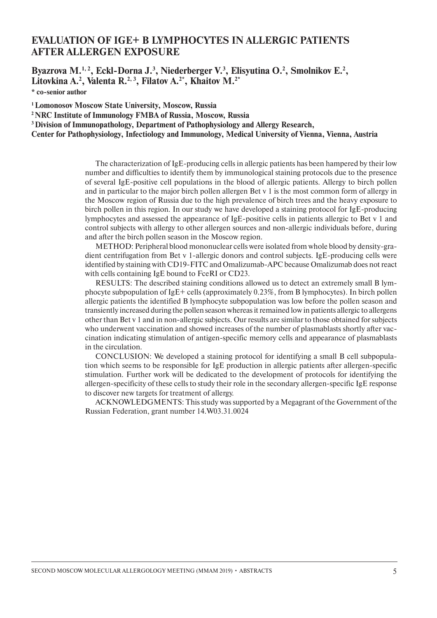## **EVALUATION OF IGE+ B LYMPHOCYTES IN ALLERGIC PATIENTS AFTER ALLERGEN EXPOSURE**

Byazrova M.<sup>1,2</sup>, Eckl-Dorna J.<sup>3</sup>, Niederberger V.<sup>3</sup>, Elisyutina O.<sup>2</sup>, Smolnikov E.<sup>2</sup>, **Litovkina A.2 , Valenta R.2, 3, Filatov A.2\*, Khaitov M.2\***

**\* co-senior author** 

**1 Lomonosov Moscow State University, Moscow, Russia**

**2 NRC Institute of Immunology FMBA of Russia, Moscow, Russia**

**3 Division of Immunopathology, Department of Pathophysiology and Allergy Research,** 

**Center for Pathophysiology, Infectiology and Immunology, Medical University of Vienna, Vienna, Austria**

The characterization of IgE-producing cells in allergic patients has been hampered by their low number and difficulties to identify them by immunological staining protocols due to the presence of several IgE-positive cell populations in the blood of allergic patients. Allergy to birch pollen and in particular to the major birch pollen allergen Bet v 1 is the most common form of allergy in the Moscow region of Russia due to the high prevalence of birch trees and the heavy exposure to birch pollen in this region. In our study we have developed a staining protocol for IgE-producing lymphocytes and assessed the appearance of IgE-positive cells in patients allergic to Bet v 1 and control subjects with allergy to other allergen sources and non-allergic individuals before, during and after the birch pollen season in the Moscow region.

METHOD: Peripheral blood mononuclear cells were isolated from whole blood by density-gradient centrifugation from Bet v 1-allergic donors and control subjects. IgE-producing cells were identified by staining with CD19-FITC and Omalizumab-APC because Omalizumab does not react with cells containing IgE bound to FceRI or CD23.

RESULTS: The described staining conditions allowed us to detect an extremely small B lymphocyte subpopulation of IgE+ cells (approximately  $0.23\%$ , from B lymphocytes). In birch pollen allergic patients the identified B lymphocyte subpopulation was low before the pollen season and transiently increased during the pollen season whereas it remained low in patients allergic to allergens other than Bet v 1 and in non-allergic subjects. Our results are similar to those obtained for subjects who underwent vaccination and showed increases of the number of plasmablasts shortly after vaccination indicating stimulation of antigen-specific memory cells and appearance of plasmablasts in the circulation.

CONCLUSION: We developed a staining protocol for identifying a small B cell subpopulation which seems to be responsible for IgE production in allergic patients after allergen-specific stimulation. Further work will be dedicated to the development of protocols for identifying the allergen-specificity of these cells to study their role in the secondary allergen-specific IgE response to discover new targets for treatment of allergy.

ACKNOWLEDGMENTS: This study was supported by a Megagrant of the Government of the Russian Federation, grant number 14.W03.31.0024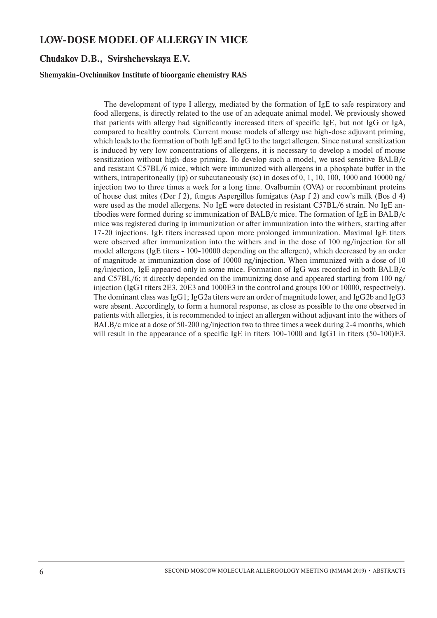## **LOW-DOSE MODEL OF ALLERGY IN MICE**

#### **Сhudakov D.B., Svirshchevskaya E.V.**

#### **Shemyakin-Ovchinnikov Institute of bioorganic chemistry RAS**

The development of type I allergy, mediated by the formation of IgE to safe respiratory and food allergens, is directly related to the use of an adequate animal model. We previously showed that patients with allergy had significantly increased titers of specific IgE, but not IgG or IgA, compared to healthy controls. Current mouse models of allergy use high-dose adjuvant priming, which leads to the formation of both IgE and IgG to the target allergen. Since natural sensitization is induced by very low concentrations of allergens, it is necessary to develop a model of mouse sensitization without high-dose priming. To develop such a model, we used sensitive BALB/c and resistant C57BL/6 mice, which were immunized with allergens in a phosphate buffer in the withers, intraperitoneally (ip) or subcutaneously (sc) in doses of  $0, 1, 10, 100, 1000$  and  $10000$  ng/ injection two to three times a week for a long time. Ovalbumin (OVA) or recombinant proteins of house dust mites (Der f 2), fungus Aspergillus fumigatus (Asp f 2) and cow's milk (Bos d 4) were used as the model allergens. No IgE were detected in resistant C57BL/6 strain. No IgE antibodies were formed during sc immunization of BALB/c mice. The formation of IgE in BALB/c mice was registered during ip immunization or after immunization into the withers, starting after 17-20 injections. IgE titers increased upon more prolonged immunization. Maximal IgE titers were observed after immunization into the withers and in the dose of 100 ng/injection for all model allergens (IgE titers - 100-10000 depending on the allergen), which decreased by an order of magnitude at immunization dose of 10000 ng/injection. When immunized with a dose of 10 ng/injection, IgE appeared only in some mice. Formation of IgG was recorded in both BALB/c and C57BL/6; it directly depended on the immunizing dose and appeared starting from 100 ng/ injection (IgG1 titers 2E3, 20E3 and 1000E3 in the control and groups 100 or 10000, respectively). The dominant class was  $I_{\text{g}}G1$ ; IgG2a titers were an order of magnitude lower, and IgG2b and IgG3 were absent. Accordingly, to form a humoral response, as close as possible to the one observed in patients with allergies, it is recommended to inject an allergen without adjuvant into the withers of BALB/c mice at a dose of 50-200 ng/injection two to three times a week during 2-4 months, which will result in the appearance of a specific IgE in titers 100-1000 and IgG1 in titers (50-100)E3.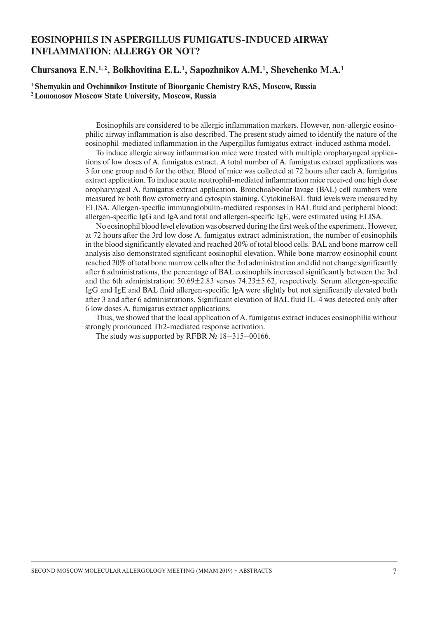## **EOSINOPHILS IN ASPERGILLUS FUMIGATUS-INDUCED AIRWAY INFLAMMATION: ALLERGY OR NOT?**

#### **Chursanova E.N.1, 2, Bolkhovitina E.L.1 , Sapozhnikov A.M.1 , Shevchenko M.A.1**

**1 Shemyakin and Ovchinnikov Institute of Bioorganic Chemistry RAS, Moscow, Russia 2 Lomonosov Moscow State University, Moscow, Russia**

> Eosinophils are considered to be allergic inflammation markers. However, non-allergic eosinophilic airway inflammation is also described. The present study aimed to identify the nature of the eosinophil-mediated inflammation in the Aspergillus fumigatus extract-induced asthma model.

> To induce allergic airway inflammation mice were treated with multiple oropharyngeal applications of low doses of A. fumigatus extract. A total number of A. fumigatus extract applications was 3 for one group and 6 for the other. Blood of mice was collected at 72 hours after each A. fumigatus extract application. To induce acute neutrophil-mediated inflammation mice received one high dose oropharyngeal A. fumigatus extract application. Bronchoalveolar lavage (BAL) cell numbers were measured by both flow cytometry and cytospin staining. CytokineBAL fluid levels were measured by ELISA. Allergen-specific immunoglobulin-mediated responses in BAL fluid and peripheral blood: allergen-specific IgG and IgA and total and allergen-specific IgE, were estimated using ELISA.

> No eosinophil blood level elevation was observed during the first week of the experiment. However, at 72 hours after the 3rd low dose A. fumigatus extract administration, the number of eosinophils in the blood significantly elevated and reached 20% of total blood cells. BAL and bone marrow cell analysis also demonstrated significant eosinophil elevation. While bone marrow eosinophil count reached 20% of total bone marrow cells after the 3rd administration and did not change significantly after 6 administrations, the percentage of BAL eosinophils increased significantly between the 3rd and the 6th administration: 50.69±2.83 versus 74.23±5.62, respectively. Serum allergen-specific IgG and IgE and BAL fluid allergen-specific IgA were slightly but not significantly elevated both after 3 and after 6 administrations. Significant elevation of BAL fluid IL-4 was detected only after 6 low doses A. fumigatus extract applications.

> Thus, we showed that the local application of A. fumigatus extract induces eosinophilia without strongly pronounced Th2-mediated response activation.

The study was supported by RFBR  $\mathcal{N}$ <sup>0</sup> 18–315–00166.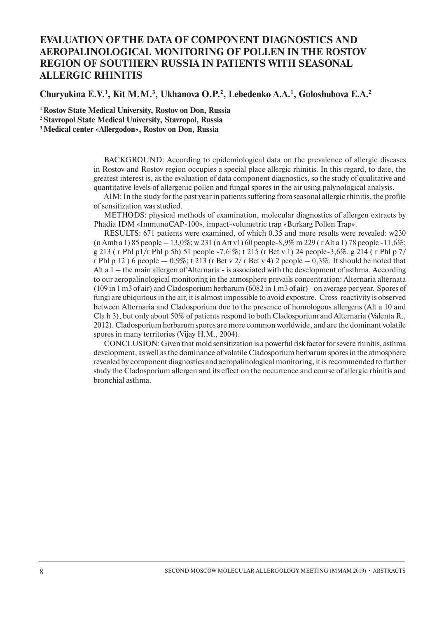## **EVALUATION OF THE DATA OF COMPONENT DIAGNOSTICS AND AEROPALINOLOGICAL MONITORING OF POLLEN IN THE ROSTOV REGION OF SOUTHERN RUSSIA IN PATIENTS WITH SEASONAL ALLERGIC RHINITIS**

Churyukina E.V.<sup>1</sup>, Kit M.M.<sup>3</sup>, Ukhanova O.P.<sup>2</sup>, Lebedenko A.A.<sup>1</sup>, Goloshubova E.A.<sup>2</sup>

**1 Rostov State Medical University, Rostov on Don, Russia** 

**2 Stavropol State Medical University, Stavropol, Russia** 

**3 Medical center «Allergodon», Rostov on Don, Russia**

BACKGROUND: According to epidemiological data on the prevalence of allergic diseases in Rostov and Rostov region occupies a special place allergic rhinitis. In this regard, to date, the greatest interest is, as the evaluation of data component diagnostics, so the study of qualitative and quantitative levels of allergenic pollen and fungal spores in the air using palynological analysis.

AIM: In the study for the past year in patients suffering from seasonal allergic rhinitis, the profile of sensitization was studied.

METHODS: physical methods of examination, molecular diagnostics of allergen extracts by Phadia IDM «ImmunoCAP-100», impact-volumetric trap «Burkarg Pollen Trap».

RESULTS: 671 patients were examined, of which 0.35 and more results were revealed: w230 (n Amb a 1) 85 people – 13,0%; w 231 (n Art v1) 60 people-8,9% m 229 ( r Alt a 1) 78 people -11,6%; g 213 ( r Phl p1/r Phl p 5b) 51 people -7,6 %; t 215 (r Bet v 1) 24 people-3,6%. g 214 ( r Phl p 7/ r Phl p 12 ) 6 people  $-0.9\%$ ; t 213 (r Bet v 2/ r Bet v 4) 2 people  $-0.3\%$ . It should be noted that Alt a 1 – the main allergen of Alternaria - is associated with the development of asthma. According to our aeropalinological monitoring in the atmosphere prevails concentration: Alternaria alternata (109 in 1 m3 of air) and Cladosporium herbarum (6082 in 1 m3 of air) - on average per year. Spores of fungi are ubiquitous in the air, it is almost impossible to avoid exposure. Cross-reactivity is observed between Alternaria and Cladosporium due to the presence of homologous allergens (Alt a 10 and Cla h 3), but only about 50% of patients respond to both Cladosporium and Alternaria (Valenta R., 2012). Cladosporium herbarum spores are more common worldwide, and are the dominant volatile spores in many territories (Vijay H.M., 2004).

CONCLUSION: Given that mold sensitization is a powerful risk factor for severe rhinitis, asthma development, as well as the dominance of volatile Cladosporium herbarum spores in the atmosphere revealed by component diagnostics and aeropalinological monitoring, it is recommended to further study the Cladosporium allergen and its effect on the occurrence and course of allergic rhinitis and bronchial asthma.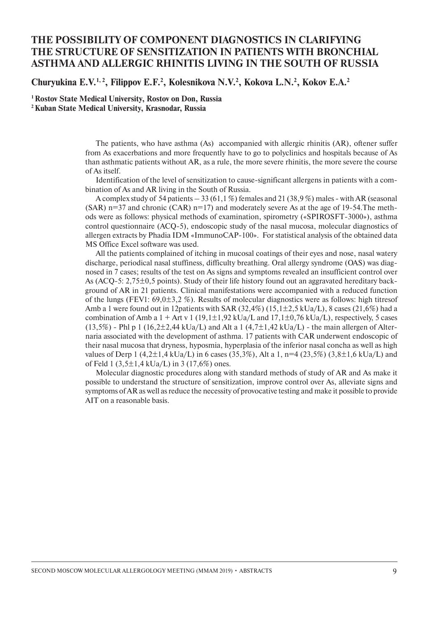## **THE POSSIBILITY OF COMPONENT DIAGNOSTICS IN CLARIFYING THE STRUCTURE OF SENSITIZATION IN PATIENTS WITH BRONCHIAL ASTHMA AND ALLERGIC RHINITIS LIVING IN THE SOUTH OF RUSSIA**

Churyukina E.V.<sup>1, 2</sup>, Filippov E.F.<sup>2</sup>, Kolesnikova N.V.<sup>2</sup>, Kokova L.N.<sup>2</sup>, Kokov E.A.<sup>2</sup>

**1 Rostov State Medical University, Rostov on Don, Russia 2 Kuban State Medical University, Krasnodar, Russia**

> The patients, who have asthma (As) accompanied with allergic rhinitis (AR), oftener suffer from As exacerbations and more frequently have to go to polyclinics and hospitals because of As than asthmatic patients without AR, as a rule, the more severe rhinitis, the more severe the course of As itself.

> Identification of the level of sensitization to cause-significant allergens in patients with a combination of As and AR living in the South of Russia.

> A complex study of 54 patients  $-33(61,1\%)$  females and 21 (38,9%) males - with AR (seasonal  $(SAR)$  n=37 and chronic  $(CAR)$  n=17) and moderately severe As at the age of 19-54. The methods were as follows: physical methods of examination, spirometry («SPIROSFT-3000»), asthma control questionnaire (ACQ-5), endoscopic study of the nasal mucosa, molecular diagnostics of allergen extracts by Phadia IDM «ImmunoCAP-100». For statistical analysis of the obtained data MS Office Excel software was used.

> All the patients complained of itching in mucosal coatings of their eyes and nose, nasal watery discharge, periodical nasal stuffiness, difficulty breathing. Oral allergy syndrome (OAS) was diagnosed in 7 cases; results of the test on As signs and symptoms revealed an insufficient control over As (ACQ-5: 2,75±0,5 points). Study of their life history found out an aggravated hereditary background of AR in 21 patients. Clinical manifestations were accompanied with a reduced function of the lungs (FEV1: 69,0±3,2 %). Results of molecular diagnostics were as follows: high titresof Amb a 1 were found out in 12patients with SAR  $(32,4\%)$   $(15,1\pm2,5 \text{ kUa/L})$ , 8 cases (21,6%) had a combination of Amb a  $1 +$  Art v 1 (19,1 $\pm$ 1,92 kUa/L and 17,1 $\pm$ 0,76 kUa/L), respectively, 5 cases  $(13,5\%)$  - Phl p 1  $(16,2\pm 2,44 \text{ kUa/L})$  and Alt a 1  $(4,7\pm 1,42 \text{ kUa/L})$  - the main allergen of Alternaria associated with the development of asthma. 17 patients with CAR underwent endoscopic of their nasal mucosa that dryness, hyposmia, hyperplasia of the inferior nasal concha as well as high values of Derp 1 (4,2 $\pm$ 1,4 kUa/L) in 6 cases (35,3%), Alt a 1, n=4 (23,5%) (3,8 $\pm$ 1,6 kUa/L) and of Feld 1 (3,5 $\pm$ 1,4 kUa/L) in 3 (17,6%) ones.

> Molecular diagnostic procedures along with standard methods of study of AR and As make it possible to understand the structure of sensitization, improve control over As, alleviate signs and symptoms of AR as well as reduce the necessity of provocative testing and make it possible to provide AIT on a reasonable basis.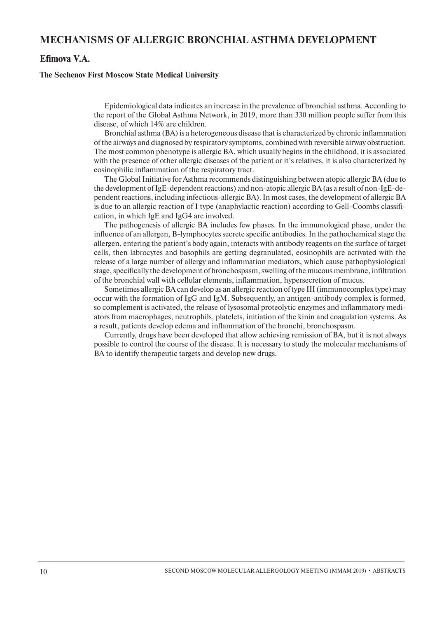## **MECHANISMS OF ALLERGIC BRONCHIAL ASTHMA DEVELOPMENT**

#### **Efimova V.A.**

#### **The Sechenov First Moscow State Medical University**

Epidemiological data indicates an increase in the prevalence of bronchial asthma. According to the report of the Global Asthma Network, in 2019, more than 330 million people suffer from this disease, of which 14% are children.

Bronchial asthma (BA) is a heterogeneous disease that is characterized by chronic inflammation of the airways and diagnosed by respiratory symptoms, combined with reversible airway obstruction. The most common phenotype is allergic BA, which usually begins in the childhood, it is associated with the presence of other allergic diseases of the patient or it's relatives, it is also characterized by eosinophilic inflammation of the respiratory tract.

The Global Initiative for Asthma recommends distinguishing between atopic allergic BA (due to the development of IgE-dependent reactions) and non-atopic allergic BA (as a result of non-IgE-dependent reactions, including infectious-allergic BA). In most cases, the development of allergic BA is due to an allergic reaction of I type (anaphylactic reaction) according to Gell-Coombs classification, in which IgE and IgG4 are involved.

The pathogenesis of allergic BA includes few phases. In the immunological phase, under the influence of an allergen, B-lymphocytes secrete specific antibodies. In the pathochemical stage the allergen, entering the patient's body again, interacts with antibody reagents on the surface of target cells, then labrocytes and basophils are getting degranulated, eosinophils are activated with the release of a large number of allergy and inflammation mediators, which cause pathophysiological stage, specifically the development of bronchospasm, swelling of the mucous membrane, infiltration of the bronchial wall with cellular elements, inflammation, hypersecretion of mucus.

Sometimes allergic BA can develop as an allergic reaction of type III (immunocomplex type) may occur with the formation of IgG and IgM. Subsequently, an antigen-antibody complex is formed, so complement is activated, the release of lysosomal proteolytic enzymes and inflammatory mediators from macrophages, neutrophils, platelets, initiation of the kinin and coagulation systems. As a result, patients develop edema and inflammation of the bronchi, bronchospasm.

Currently, drugs have been developed that allow achieving remission of BA, but it is not always possible to control the course of the disease. It is necessary to study the molecular mechanisms of BA to identify therapeutic targets and develop new drugs.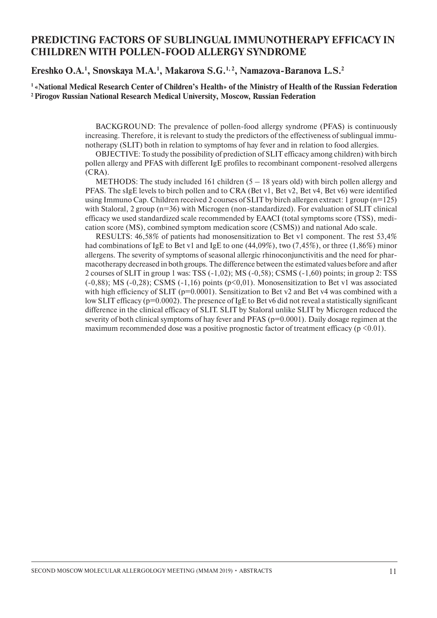## **PREDICTING FACTORS OF SUBLINGUAL IMMUNOTHERAPY EFFICACY IN CHILDREN WITH POLLEN-FOOD ALLERGY SYNDROME**

#### **Еreshko O.A.1 , Snovskaya M.A.1 , Makarova S.G.1, 2, Namazova-Baranova L.S.2**

**1 «National Medical Research Center of Children's Health» of the Ministry of Health of the Russian Federation 2 Pirogov Russian National Research Medical University, Moscow, Russian Federation**

> BACKGROUND: The prevalence of pollen-food allergy syndrome (PFAS) is continuously increasing. Therefore, it is relevant to study the predictors of the effectiveness of sublingual immunotherapy (SLIT) both in relation to symptoms of hay fever and in relation to food allergies.

> OBJECTIVE: To study the possibility of prediction of SLIT efficacy among children) with birch pollen allergy and PFAS with different IgE profiles to recombinant component-resolved allergens (CRA).

> METHODS: The study included 161 children  $(5 - 18)$  years old) with birch pollen allergy and PFAS. The sIgE levels to birch pollen and to CRA (Bet v1, Bet v2, Bet v4, Bet v6) were identified using Immuno Cap. Children received 2 courses of SLIT by birch allergen extract: 1 group (n=125) with Staloral, 2 group (n=36) with Microgen (non-standardized). For evaluation of SLIT clinical efficacy we used standardized scale recommended by EAACI (total symptoms score (TSS), medication score (MS), combined symptom medication score (CSMS)) and national Ado scale.

> RESULTS: 46,58% of patients had monosensitization to Bet v1 component. The rest 53,4% had combinations of IgE to Bet v1 and IgE to one (44,09%), two (7,45%), or three (1,86%) minor allergens. The severity of symptoms of seasonal allergic rhinoconjunctivitis and the need for pharmacotherapy decreased in both groups. The difference between the estimated values before and after 2 courses of SLIT in group 1 was: TSS (-1,02); MS (-0,58); CSMS (-1,60) points; in group 2: TSS  $(-0,88)$ ; MS  $(-0,28)$ ; CSMS  $(-1,16)$  points  $(p<0,01)$ . Monosensitization to Bet v1 was associated with high efficiency of SLIT ( $p=0.0001$ ). Sensitization to Bet v2 and Bet v4 was combined with a low SLIT efficacy (p=0.0002). The presence of IgE to Bet v6 did not reveal a statistically significant difference in the clinical efficacy of SLIT. SLIT by Staloral unlike SLIT by Microgen reduced the severity of both clinical symptoms of hay fever and PFAS ( $p=0.0001$ ). Daily dosage regimen at the maximum recommended dose was a positive prognostic factor of treatment efficacy ( $p \le 0.01$ ).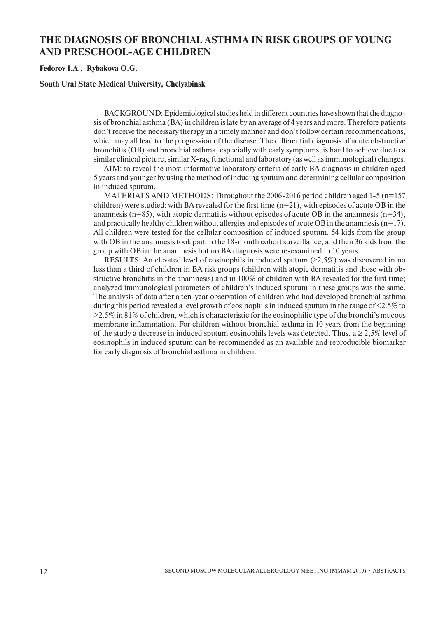## **THE DIAGNOSIS OF BRONCHIAL ASTHMA IN RISK GROUPS OF YOUNG AND PRESCHOOL-AGE CHILDREN**

**Fedorov I.A., Rybakova O.G.**

#### **South Ural State Medical University, Chelyabinsk**

BACKGROUND: Epidemiological studies held in different countries have shown that the diagnosis of bronchial asthma (BA) in children is late by an average of 4 years and more. Therefore patients don't receive the necessary therapy in a timely manner and don't follow certain recommendations, which may all lead to the progression of the disease. The differential diagnosis of acute obstructive bronchitis (OB) and bronchial asthma, especially with early symptoms, is hard to achieve due to a similar clinical picture, similar X-ray, functional and laboratory (as well as immunological) changes.

AIM: to reveal the most informative laboratory criteria of early BA diagnosis in children aged 5 years and younger by using the method of inducing sputum and determining cellular composition in induced sputum.

MATERIALS AND METHODS: Throughout the 2006-2016 period children aged 1-5 (n=157 children) were studied: with BA revealed for the first time  $(n=21)$ , with episodes of acute OB in the anamnesis ( $n=85$ ), with atopic dermatitis without episodes of acute OB in the anamnesis ( $n=34$ ), and practically healthy children without allergies and episodes of acute OB in the anamnesis  $(n=17)$ . All children were tested for the cellular composition of induced sputum. 54 kids from the group with OB in the anamnesis took part in the 18-month cohort surveillance, and then 36 kids from the group with OB in the anamnesis but no BA diagnosis were re-examined in 10 years.

RESULTS: An elevated level of eosinophils in induced sputum ( $\geq$ 2,5%) was discovered in no less than a third of children in BA risk groups (children with atopic dermatitis and those with obstructive bronchitis in the anamnesis) and in 100% of children with BA revealed for the first time; analyzed immunological parameters of children's induced sputum in these groups was the same. The analysis of data after a ten-year observation of children who had developed bronchial asthma during this period revealed a level growth of eosinophils in induced sputum in the range of <2.5% to  $>2.5\%$  in 81% of children, which is characteristic for the eosinophilic type of the bronchi's mucous membrane inflammation. For children without bronchial asthma in 10 years from the beginning of the study a decrease in induced sputum eosinophils levels was detected. Thus,  $a \ge 2.5\%$  level of eosinophils in induced sputum can be recommended as an available and reproducible biomarker for early diagnosis of bronchial asthma in children.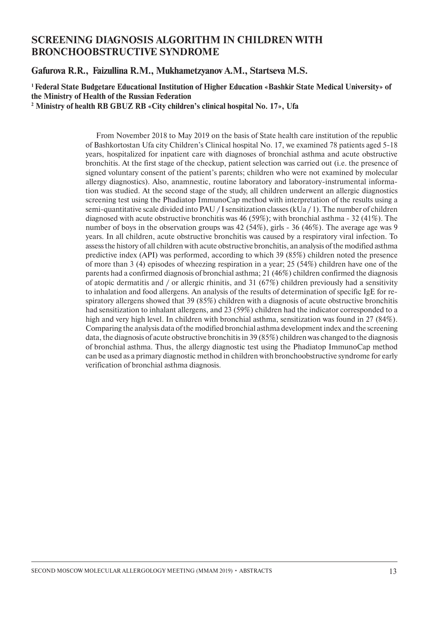## **SCREENING DIAGNOSIS ALGORITHM IN CHILDREN WITH BRONCHOOBSTRUCTIVE SYNDROME**

**Gafurova R.R., Faizullina R.M., Mukhametzyanov A.M., Startseva M.S.**

#### **1 Federal State Budgetare Educational Institution of Higher Education «Bashkir State Medical University» of the Ministry of Health of the Russian Federation**

**2 Ministry of health RB GBUZ RB «City children's clinical hospital No. 17», Ufa**

From November 2018 to May 2019 on the basis of State health care institution of the republic of Bashkortostan Ufa city Children's Clinical hospital No. 17, we examined 78 patients aged 5-18 years, hospitalized for inpatient care with diagnoses of bronchial asthma and acute obstructive bronchitis. At the first stage of the checkup, patient selection was carried out (i.e. the presence of signed voluntary consent of the patient's parents; children who were not examined by molecular allergy diagnostics). Also, anamnestic, routine laboratory and laboratory-instrumental information was studied. At the second stage of the study, all children underwent an allergic diagnostics screening test using the Phadiatop ImmunoCap method with interpretation of the results using a semi-quantitative scale divided into PAU / I sensitization classes (kUa / 1). The number of children diagnosed with acute obstructive bronchitis was 46 (59%); with bronchial asthma - 32 (41%). The number of boys in the observation groups was 42 (54%), girls - 36 (46%). The average age was 9 years. In all children, acute obstructive bronchitis was caused by a respiratory viral infection. To assess the history of all children with acute obstructive bronchitis, an analysis of the modified asthma predictive index (API) was performed, according to which 39 (85%) children noted the presence of more than 3 (4) episodes of wheezing respiration in a year; 25 (54%) children have one of the parents had a confirmed diagnosis of bronchial asthma; 21 (46%) children confirmed the diagnosis of atopic dermatitis and / or allergic rhinitis, and 31 (67%) children previously had a sensitivity to inhalation and food allergens. An analysis of the results of determination of specific IgE for respiratory allergens showed that 39 (85%) children with a diagnosis of acute obstructive bronchitis had sensitization to inhalant allergens, and 23 (59%) children had the indicator corresponded to a high and very high level. In children with bronchial asthma, sensitization was found in 27 (84%). Comparing the analysis data of the modified bronchial asthma development index and the screening data, the diagnosis of acute obstructive bronchitis in 39 (85%) children was changed to the diagnosis of bronchial asthma. Thus, the allergy diagnostic test using the Phadiatop ImmunoCap method can be used as a primary diagnostic method in children with bronchoobstructive syndrome for early verification of bronchial asthma diagnosis.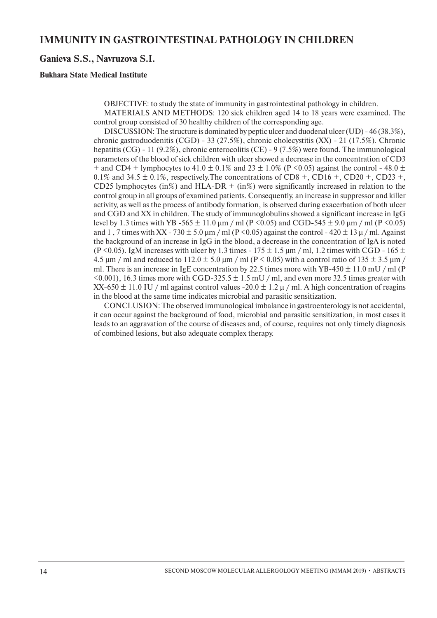#### **Ganieva S.S., Navruzova S.I.**

#### **Bukhara State Medical Institute**

OBJECTIVE: to study the state of immunity in gastrointestinal pathology in children.

MATERIALS AND METHODS: 120 sick children aged 14 to 18 years were examined. The control group consisted of 30 healthy children of the corresponding age.

DISCUSSION: The structure is dominated by peptic ulcer and duodenal ulcer (UD) - 46 (38.3%), chronic gastroduodenitis (CGD) - 33 (27.5%), chronic cholecystitis (XX) - 21 (17.5%). Chronic hepatitis (CG) - 11 (9.2%), chronic enterocolitis (CE) - 9 (7.5%) were found. The immunological parameters of the blood of sick children with ulcer showed a decrease in the concentration of CD3 + and CD4 + lymphocytes to 41.0  $\pm$  0.1% and 23  $\pm$  1.0% (P < 0.05) against the control - 48.0  $\pm$ 0.1% and 34.5  $\pm$  0.1%, respectively. The concentrations of CD8 +, CD16 +, CD20 +, CD23 +, CD25 lymphocytes (in%) and HLA-DR + (in%) were significantly increased in relation to the control group in all groups of examined patients. Consequently, an increase in suppressor and killer activity, as well as the process of antibody formation, is observed during exacerbation of both ulcer and CGD and XX in children. The study of immunoglobulins showed a significant increase in IgG level by 1.3 times with YB -565  $\pm$  11.0 μm / ml (P <0.05) and CGD-545  $\pm$  9.0 μm / ml (P <0.05) and 1, 7 times with XX - 730  $\pm$  5.0 µm / ml (P < 0.05) against the control - 420  $\pm$  13 µ / ml. Against the background of an increase in IgG in the blood, a decrease in the concentration of IgA is noted (P <0.05). IgM increases with ulcer by 1.3 times -  $175 \pm 1.5$  µm / ml, 1.2 times with CGD -  $165 \pm 1.5$ 4.5  $\mu$ m / ml and reduced to 112.0  $\pm$  5.0  $\mu$ m / ml (P < 0.05) with a control ratio of 135  $\pm$  3.5  $\mu$ m / ml. There is an increase in IgE concentration by 22.5 times more with YB-450  $\pm$  11.0 mU / ml (P  $\leq 0.001$ , 16.3 times more with CGD-325.5  $\pm$  1.5 mU / ml, and even more 32.5 times greater with XX-650  $\pm$  11.0 IU / ml against control values -20.0  $\pm$  1.2  $\mu$  / ml. A high concentration of reagins in the blood at the same time indicates microbial and parasitic sensitization.

CONCLUSION: The observed immunological imbalance in gastroenterology is not accidental, it can occur against the background of food, microbial and parasitic sensitization, in most cases it leads to an aggravation of the course of diseases and, of course, requires not only timely diagnosis of combined lesions, but also adequate complex therapy.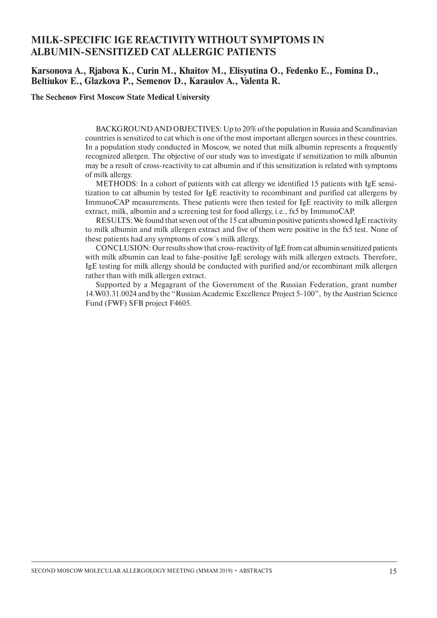## **MILK-SPECIFIC IGE REACTIVITY WITHOUT SYMPTOMS IN ALBUMIN-SENSITIZED CAT ALLERGIC PATIENTS**

#### **Karsonova A., Rjabova K., Curin M., Khaitov M., Elisyutina O., Fedenko E., Fomina D., Beltiukov E., Glazkova P., Semenov D., Karaulov A., Valenta R.**

**The Sechenov First Moscow State Medical University**

BACKGROUND AND OBJECTIVES: Up to 20% of the population in Russia and Scandinavian countries is sensitized to cat which is one of the most important allergen sources in these countries. In a population study conducted in Moscow, we noted that milk albumin represents a frequently recognized allergen. The objective of our study was to investigate if sensitization to milk albumin may be a result of cross-reactivity to cat albumin and if this sensitization is related with symptoms of milk allergy.

METHODS: In a cohort of patients with cat allergy we identified 15 patients with IgE sensitization to cat albumin by tested for IgE reactivity to recombinant and purified cat allergens by ImmunoCAP measurements. These patients were then tested for IgE reactivity to milk allergen extract, milk, albumin and a screening test for food allergy, i.e., fx5 by ImmunoCAP.

RESULTS: We found that seven out of the 15 cat albumin positive patients showed IgE reactivity to milk albumin and milk allergen extract and five of them were positive in the fx5 test. None of these patients had any symptoms of cow´s milk allergy.

CONCLUSION: Our results show that cross-reactivity of IgE from cat albumin sensitized patients with milk albumin can lead to false-positive IgE serology with milk allergen extracts. Therefore, IgE testing for milk allergy should be conducted with purified and/or recombinant milk allergen rather than with milk allergen extract.

Supported by a Megagrant of the Government of the Russian Federation, grant number 14.W03.31.0024 and by the "Russian Academic Excellence Project 5-100", by the Austrian Science Fund (FWF) SFB project F4605.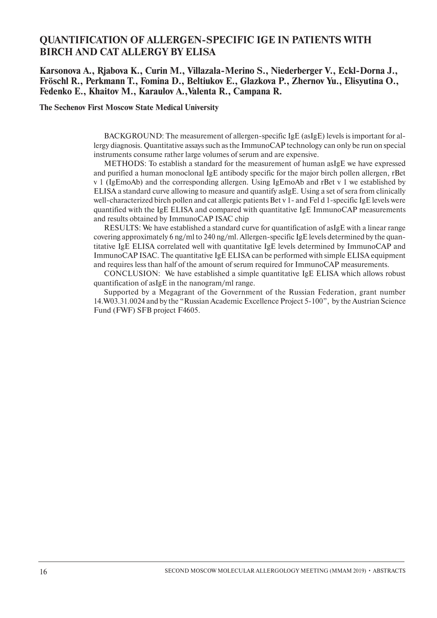## **QUANTIFICATION OF ALLERGEN-SPECIFIC IGE IN PATIENTS WITH BIRCH AND CAT ALLERGY BY ELISA**

#### **Karsonova A., Rjabova K., Curin M., Villazala-Merino S., Niederberger V., Eckl-Dorna J., Fröschl R., Perkmann T., Fomina D., Beltiukov E., Glazkova P., Zhernov Yu., Elisyutina O., Fedenko E., Khaitov M., Karaulov A.,Valenta R., Campana R.**

**The Sechenov First Moscow State Medical University**

BACKGROUND: The measurement of allergen-specific IgE (asIgE) levels is important for allergy diagnosis. Quantitative assays such as the ImmunoCAP technology can only be run on special instruments consume rather large volumes of serum and are expensive.

METHODS: To establish a standard for the measurement of human asIgE we have expressed and purified a human monoclonal IgE antibody specific for the major birch pollen allergen, rBet v 1 (IgEmoAb) and the corresponding allergen. Using IgEmoAb and rBet v 1 we established by ELISA a standard curve allowing to measure and quantify asIgE. Using a set of sera from clinically well-characterized birch pollen and cat allergic patients Bet v 1- and Fel d 1-specific IgE levels were quantified with the IgE ELISA and compared with quantitative IgE ImmunoCAP measurements and results obtained by ImmunoCAP ISAC chip

RESULTS: We have established a standard curve for quantification of asIgE with a linear range covering approximately 6 ng/ml to 240 ng/ml. Allergen-specific IgE levels determined by the quantitative IgE ELISA correlated well with quantitative IgE levels determined by ImmunoCAP and ImmunoCAP ISAC. The quantitative IgE ELISA can be performed with simple ELISA equipment and requires less than half of the amount of serum required for ImmunoCAP measurements.

CONCLUSION: We have established a simple quantitative IgE ELISA which allows robust quantification of asIgE in the nanogram/ml range.

Supported by a Megagrant of the Government of the Russian Federation, grant number 14.W03.31.0024 and by the "Russian Academic Excellence Project 5-100", by the Austrian Science Fund (FWF) SFB project F4605.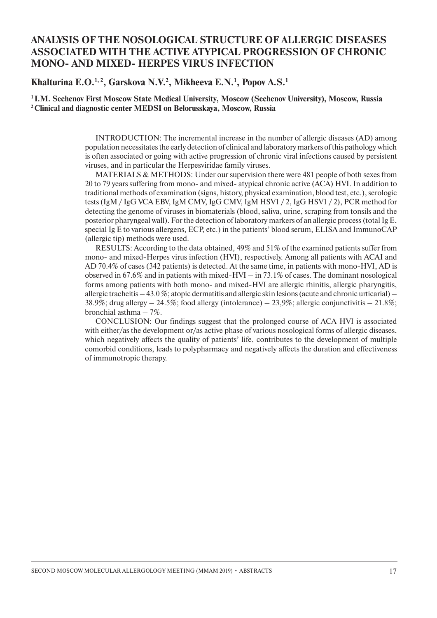## **ANALYSIS OF THE NOSOLOGICAL STRUCTURE OF ALLERGIC DISEASES ASSOCIATED WITH THE ACTIVE ATYPICAL PROGRESSION OF CHRONIC MONO- AND MIXED- HERPES VIRUS INFECTION**

Khalturina E.O.<sup>1, 2</sup>, Garskova N.V.<sup>2</sup>, Mikheeva E.N.<sup>1</sup>, Popov A.S.<sup>1</sup>

**1 I.M. Sechenov First Moscow State Medical University, Moscow (Sechenov University), Moscow, Russia 2 Clinical and diagnostic center MEDSI on Belorusskaya, Moscow, Russia** 

> INTRODUCTION: The incremental increase in the number of allergic diseases (AD) among population necessitates the early detection of clinical and laboratory markers of this pathology which is often associated or going with active progression of chronic viral infections caused by persistent viruses, and in particular the Herpesviridae family viruses.

> MATERIALS & METHODS: Under our supervision there were 481 people of both sexes from 20 to 79 years suffering from mono- and mixed- atypical chronic active (ACA) HVI. In addition to traditional methods of examination (signs, history, physical examination, blood test, etc.), serologic tests (IgM / IgG VCA EBV, IgM CMV, IgG CMV, IgM HSV1 / 2, IgG HSV1 / 2), PCR method for detecting the genome of viruses in biomaterials (blood, saliva, urine, scraping from tonsils and the posterior pharyngeal wall). For the detection of laboratory markers of an allergic process (total Ig E, special Ig E to various allergens, ECP, etc.) in the patients' blood serum, ELISA and ImmunoCAP (allergic tip) methods were used.

> RESULTS: According to the data obtained, 49% and 51% of the examined patients suffer from mono- and mixed-Herpes virus infection (HVI), respectively. Among all patients with ACAI and AD 70.4% of cases (342 patients) is detected. At the same time, in patients with mono-HVI, AD is observed in 67.6% and in patients with mixed-HVI – in 73.1% of cases. The dominant nosological forms among patients with both mono- and mixed-HVI are allergic rhinitis, allergic pharyngitis, allergic tracheitis – 43.0 %; atopic dermatitis and allergic skin lesions (acute and chronic urticarial) – 38.9%; drug allergy  $-24.5\%$ ; food allergy (intolerance)  $-23.9\%$ ; allergic conjunctivitis  $-21.8\%$ ; bronchial asthma – 7%.

> CONCLUSION: Our findings suggest that the prolonged course of ACA HVI is associated with either/as the development or/as active phase of various nosological forms of allergic diseases, which negatively affects the quality of patients' life, contributes to the development of multiple comorbid conditions, leads to polypharmacy and negatively affects the duration and effectiveness of immunotropic therapy.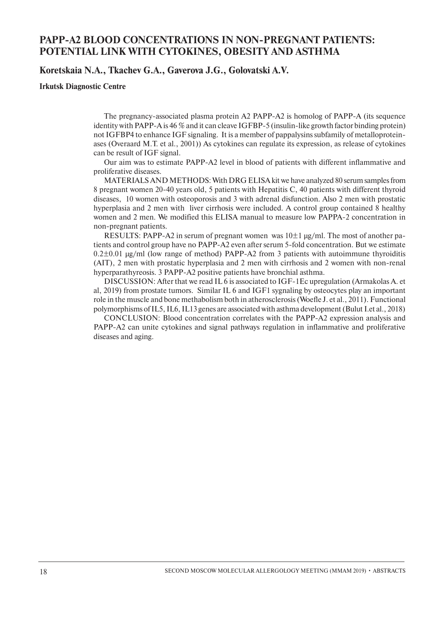## **PAPP-A2 BLOOD CONCENTRATIONS IN NON-PREGNANT PATIENTS: POTENTIAL LINK WITH CYTOKINES, OBESITY AND ASTHMA**

**Koretskaia N.A., Tkachev G.A., Gaverova J.G., Golovatski A.V.**

#### **Irkutsk Diagnostic Centre**

The pregnancy-associated plasma protein A2 PAPP-A2 is homolog of PAPP-A (its sequence identity with PAPP-A is 46 % and it can cleave IGFBP-5 (insulin-like growth factor binding protein) not IGFBP4 to enhance IGF signaling. It is a member of pappalysins subfamily of metalloproteinases (Overaard M.T. et al., 2001)) As cytokines can regulate its expression, as release of cytokines can be result of IGF signal.

Our aim was to estimate PAPP-A2 level in blood of patients with different inflammative and proliferative diseases.

MATERIALS AND METHODS: With DRG ELISA kit we have analyzed 80 serum samples from 8 pregnant women 20-40 years old, 5 patients with Hepatitis C, 40 patients with different thyroid diseases, 10 women with osteoporosis and 3 with adrenal disfunction. Also 2 men with prostatic hyperplasia and 2 men with liver cirrhosis were included. A control group contained 8 healthy women and 2 men. We modified this ELISA manual to measure low PAPPA-2 concentration in non-pregnant patients.

RESULTS: PAPP-A2 in serum of pregnant women was  $10\pm1 \,\mu$ g/ml. The most of another patients and control group have no РАРР-А2 even after serum 5-fold concentration. But we estimate  $0.2\pm0.01$  µg/ml (low range of method) PAPP-A2 from 3 patients with autoimmune thyroiditis (AIT), 2 men with prostatic hyperplasia and 2 men with cirrhosis and 2 women with non-renal hyperparathyreosis. 3 PAPP-A2 positive patients have bronchial asthma.

DISCUSSION: After that we read IL 6 is associated to IGF-1Ec upregulation (Armakolas A. et al, 2019) from prostate tumors. Similar IL 6 and IGF1 sygnaling by osteocytes play an important role in the muscle and bone methabolism both in atherosclerosis (Woefle J. et al., 2011). Functional polymorphisms of IL5, IL6, IL13 genes are associated with asthma development (Bulut I.et al., 2018)

CONCLUSION: Blood concentration correlates with the PAPP-A2 expression analysis and PAPP-A2 can unite cytokines and signal pathways regulation in inflammative and proliferative diseases and aging.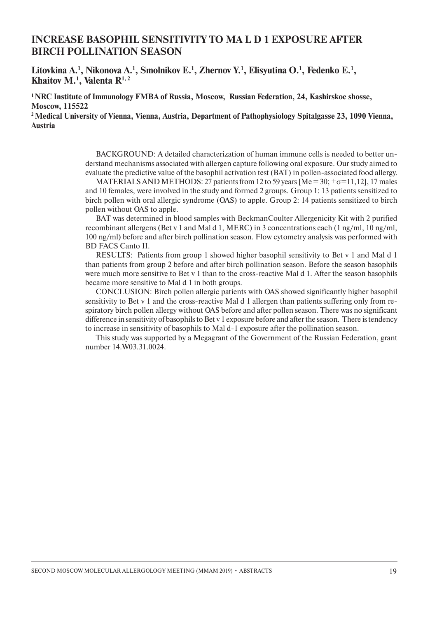## **INCREASE BASOPHIL SENSITIVITY TO MA L D 1 EXPOSURE AFTER BIRCH POLLINATION SEASON**

Litovkina A.<sup>1</sup>, Nikonova A.<sup>1</sup>, Smolnikov E.<sup>1</sup>, Zhernov Y.<sup>1</sup>, Elisyutina O.<sup>1</sup>, Fedenko E.<sup>1</sup>, **Khaitov M.1 , Valenta R1, 2**

**1 NRC Institute of Immunology FMBA of Russia, Moscow, Russian Federation, 24, Kashirskoe shosse, Moscow, 115522**

**2 Medical University of Vienna, Vienna, Austria, Department of Pathophysiology Spitalgasse 23, 1090 Vienna, Austria**

> BACKGROUND: A detailed characterization of human immune cells is needed to better understand mechanisms associated with allergen capture following oral exposure. Our study aimed to evaluate the predictive value of the basophil activation test (BAT) in pollen-associated food allergy.

> MATERIALS AND METHODS: 27 patients from 12 to 59 years [Me = 30;  $\pm \sigma = 11,12$ ], 17 males and 10 females, were involved in the study and formed 2 groups. Group 1: 13 patients sensitized to birch pollen with oral allergic syndrome (OAS) to apple. Group 2: 14 patients sensitized to birch pollen without OAS to apple.

> BAT was determined in blood samples with BeckmanCoulter Allergenicity Kit with 2 purified recombinant allergens (Bet v 1 and Mal d 1, MERC) in 3 concentrations each (1 ng/ml, 10 ng/ml, 100 ng/ml) before and after birch pollination season. Flow cytometry analysis was performed with BD FACS Canto II.

> RESULTS: Patients from group 1 showed higher basophil sensitivity to Bet v 1 and Mal d 1 than patients from group 2 before and after birch pollination season. Before the season basophils were much more sensitive to Bet v 1 than to the cross-reactive Mal d 1. After the season basophils became more sensitive to Mal d 1 in both groups.

> CONCLUSION: Birch pollen allergic patients with OAS showed significantly higher basophil sensitivity to Bet v 1 and the cross-reactive Mal d 1 allergen than patients suffering only from respiratory birch pollen allergy without OAS before and after pollen season. There was no significant difference in sensitivity of basophils to Bet v 1 exposure before and after the season. There is tendency to increase in sensitivity of basophils to Mal d-1 exposure after the pollination season.

> This study was supported by a Megagrant of the Government of the Russian Federation, grant number 14.W03.31.0024.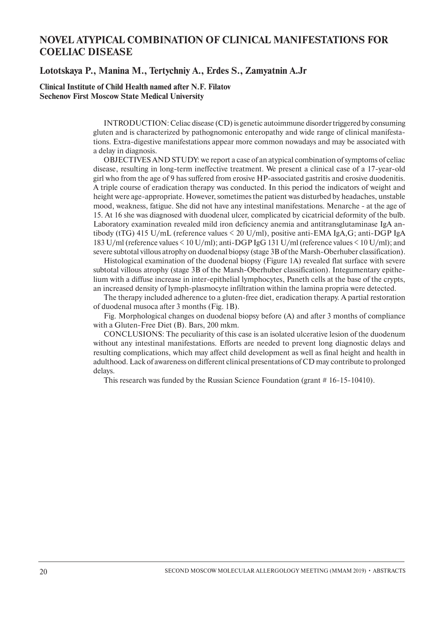## **NOVEL ATYPICAL COMBINATION OF CLINICAL MANIFESTATIONS FOR COELIAC DISEASE**

#### **Lototskaya P., Manina M., Tertychniy A., Erdes S., Zamyatnin A.Jr**

**Clinical Institute of Child Health named after N.F. Filatov Sechenov First Moscow State Medical University**

> INTRODUCTION: Celiac disease (CD) is genetic autoimmune disorder triggered by consuming gluten and is characterized by pathognomonic enteropathy and wide range of clinical manifestations. Extra-digestive manifestations appear more common nowadays and may be associated with a delay in diagnosis.

> OBJECTIVES AND STUDY: we report a case of an atypical combination of symptoms of celiac disease, resulting in long-term ineffective treatment. We present a clinical case of a 17-year-old girl who from the age of 9 has suffered from erosive HP-associated gastritis and erosive duodenitis. A triple course of eradication therapy was conducted. In this period the indicators of weight and height were age-appropriate. However, sometimes the patient was disturbed by headaches, unstable mood, weakness, fatigue. She did not have any intestinal manifestations. Menarche - at the age of 15. At 16 she was diagnosed with duodenal ulcer, complicated by cicatricial deformity of the bulb. Laboratory examination revealed mild iron deficiency anemia and antitransglutaminase IgA antibody (tTG) 415 U/mL (reference values < 20 U/ml), positive anti-EMA IgA,G; anti-DGP IgA 183 U/ml (reference values < 10 U/ml); anti-DGP IgG 131 U/ml (reference values < 10 U/ml); and severe subtotal villous atrophy on duodenal biopsy (stage 3B of the Marsh-Oberhuber classification).

> Histological examination of the duodenal biopsy (Figure 1A) revealed flat surface with severe subtotal villous atrophy (stage 3B of the Marsh-Oberhuber classification). Integumentary epithelium with a diffuse increase in inter-epithelial lymphocytes, Paneth cells at the base of the crypts, an increased density of lymph-plasmocyte infiltration within the lamina propria were detected.

> The therapy included adherence to a gluten-free diet, eradication therapy. A partial restoration of duodenal musoca after 3 months (Fig. 1B).

> Fig. Morphological changes on duodenal biopsy before (A) and after 3 months of compliance with a Gluten-Free Diet (В). Bars, 200 mkm.

> CONCLUSIONS: The peculiarity of this case is an isolated ulcerative lesion of the duodenum without any intestinal manifestations. Efforts are needed to prevent long diagnostic delays and resulting complications, which may affect child development as well as final height and health in adulthood. Lack of awareness on different clinical presentations of CD may contribute to prolonged delays.

This research was funded by the Russian Science Foundation (grant # 16-15-10410).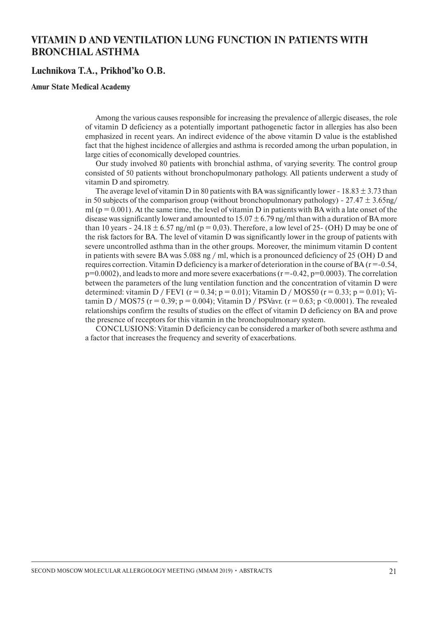## **VITAMIN D AND VENTILATION LUNG FUNCTION IN PATIENTS WITH BRONCHIAL ASTHMA**

#### **Luchnikova T.A., Prikhod'ko O.B.**

#### **Amur State Medical Academy**

Among the various causes responsible for increasing the prevalence of allergic diseases, the role of vitamin D deficiency as a potentially important pathogenetic factor in allergies has also been emphasized in recent years. An indirect evidence of the above vitamin D value is the established fact that the highest incidence of allergies and asthma is recorded among the urban population, in large cities of economically developed countries.

Our study involved 80 patients with bronchial asthma, of varying severity. The control group consisted of 50 patients without bronchopulmonary pathology. All patients underwent a study of vitamin D and spirometry.

The average level of vitamin D in 80 patients with BA was significantly lower - 18.83  $\pm$  3.73 than in 50 subjects of the comparison group (without bronchopulmonary pathology) -  $27.47 \pm 3.65$ ng/ ml ( $p = 0.001$ ). At the same time, the level of vitamin D in patients with BA with a late onset of the disease was significantly lower and amounted to  $15.07 \pm 6.79$  ng/ml than with a duration of BA more than 10 years - 24.18  $\pm$  6.57 ng/ml (p = 0,03). Therefore, a low level of 25- (OH) D may be one of the risk factors for BA. The level of vitamin D was significantly lower in the group of patients with severe uncontrolled asthma than in the other groups. Moreover, the minimum vitamin D content in patients with severe BA was 5.088 ng / ml, which is a pronounced deficiency of 25 (OH) D and requires correction. Vitamin D deficiency is a marker of deterioration in the course of BA  $(r = -0.54, r = 0.54)$  $p=0.0002$ ), and leads to more and more severe exacerbations ( $r=-0.42$ ,  $p=0.0003$ ). The correlation between the parameters of the lung ventilation function and the concentration of vitamin D were determined: vitamin D / FEV1 (r = 0.34; p = 0.01); Vitamin D / MOS50 (r = 0.33; p = 0.01); Vitamin D / MOS75 (r = 0.39; p = 0.004); Vitamin D / PSVavr. (r = 0.63; p < 0.0001). The revealed relationships confirm the results of studies on the effect of vitamin D deficiency on BA and prove the presence of receptors for this vitamin in the bronchopulmonary system.

CONCLUSIONS: Vitamin D deficiency can be considered a marker of both severe asthma and a factor that increases the frequency and severity of exacerbations.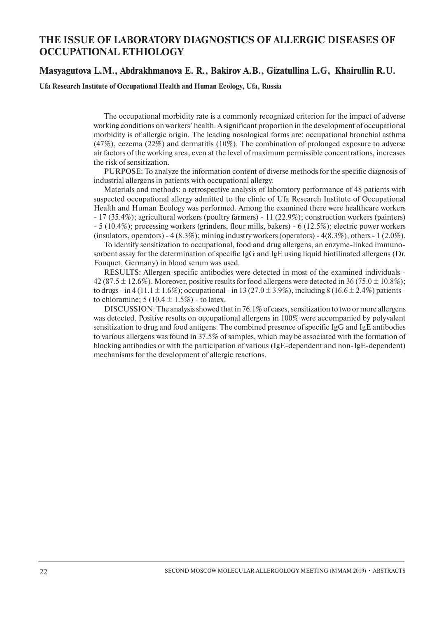## **THE ISSUE OF LABORATORY DIAGNOSTICS OF ALLERGIC DISEASES OF OCCUPATIONAL ETHIOLOGY**

#### **Masyagutova L.M., Abdrakhmanova E. R., Bakirov A.B., Gizatullina L.G, Khairullin R.U.**

**Ufa Research Institute of Occupational Health and Human Ecology, Ufa, Russia**

The occupational morbidity rate is a commonly recognized criterion for the impact of adverse working conditions on workers' health. A significant proportion in the development of occupational morbidity is of allergic origin. The leading nosological forms are: occupational bronchial asthma (47%), eczema (22%) and dermatitis (10%). The combination of prolonged exposure to adverse air factors of the working area, even at the level of maximum permissible concentrations, increases the risk of sensitization.

PURPOSE: To analyze the information content of diverse methods for the specific diagnosis of industrial allergens in patients with occupational allergy.

Materials and methods: a retrospective analysis of laboratory performance of 48 patients with suspected occupational allergy admitted to the clinic of Ufa Research Institute of Occupational Health and Human Ecology was performed. Among the examined there were healthcare workers - 17 (35.4%); agricultural workers (poultry farmers) - 11 (22.9%); construction workers (painters) - 5 (10.4%); processing workers (grinders, flour mills, bakers) - 6 (12.5%); electric power workers (insulators, operators) - 4  $(8.3\%)$ ; mining industry workers (operators) - 4 $(8.3\%)$ , others - 1  $(2.0\%)$ .

To identify sensitization to occupational, food and drug allergens, an enzyme-linked immunosorbent assay for the determination of specific IgG and IgE using liquid biotilinated allergens (Dr. Fouquet, Germany) in blood serum was used.

RESULTS: Allergen-specific antibodies were detected in most of the examined individuals - 42 (87.5  $\pm$  12.6%). Moreover, positive results for food allergens were detected in 36 (75.0  $\pm$  10.8%); to drugs - in 4 (11.1  $\pm$  1.6%); occupational - in 13 (27.0  $\pm$  3.9%), including 8 (16.6  $\pm$  2.4%) patients to chloramine;  $5(10.4 \pm 1.5\%)$  - to latex.

DISCUSSION: The analysis showed that in 76.1% of cases, sensitization to two or more allergens was detected. Positive results on occupational allergens in 100% were accompanied by polyvalent sensitization to drug and food antigens. The combined presence of specific IgG and IgE antibodies to various allergens was found in 37.5% of samples, which may be associated with the formation of blocking antibodies or with the participation of various (IgE-dependent and non-IgE-dependent) mechanisms for the development of allergic reactions.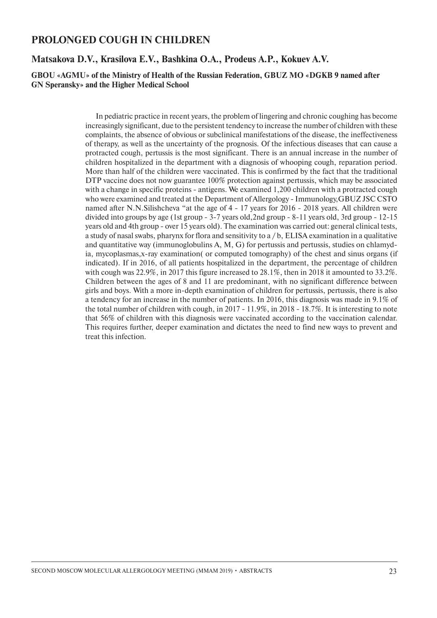## **PROLONGED COUGH IN CHILDREN**

#### **Matsakova D.V., Krasilova E.V., Bashkina O.A., Prodeus A.P., Kokuev A.V.**

#### **GBOU «AGMU» of the Ministry of Health of the Russian Federation, GBUZ MO «DGKB 9 named after GN Speransky» and the Higher Medical School**

In pediatric practice in recent years, the problem of lingering and chronic coughing has become increasingly significant, due to the persistent tendency to increase the number of children with these complaints, the absence of obvious or subclinical manifestations of the disease, the ineffectiveness of therapy, as well as the uncertainty of the prognosis. Of the infectious diseases that can cause a protracted cough, pertussis is the most significant. There is an annual increase in the number of children hospitalized in the department with a diagnosis of whooping cough, reparation period. More than half of the children were vaccinated. This is confirmed by the fact that the traditional DTP vaccine does not now guarantee 100% protection against pertussis, which may be associated with a change in specific proteins - antigens. We examined 1,200 children with a protracted cough who were examined and treated at the Department of Allergology - Immunology,GBUZ JSC CSTO named after N.N.Silishcheva "at the age of 4 - 17 years for 2016 - 2018 years. All children were divided into groups by age (1st group - 3-7 years old,2nd group - 8-11 years old, 3rd group - 12-15 years old and 4th group - over 15 years old). The examination was carried out: general clinical tests, a study of nasal swabs, pharynx for flora and sensitivity to a / b, ELISA examination in a qualitative and quantitative way (immunoglobulins A, M, G) for pertussis and pertussis, studies on chlamydia, mycoplasmas,x-ray examination( or computed tomography) of the chest and sinus organs (if indicated). If in 2016, of all patients hospitalized in the department, the percentage of children with cough was 22.9%, in 2017 this figure increased to 28.1%, then in 2018 it amounted to 33.2%. Children between the ages of 8 and 11 are predominant, with no significant difference between girls and boys. With a more in-depth examination of children for pertussis, pertussis, there is also a tendency for an increase in the number of patients. In 2016, this diagnosis was made in 9.1% of the total number of children with cough, in 2017 - 11.9%, in 2018 - 18.7%. It is interesting to note that 56% of children with this diagnosis were vaccinated according to the vaccination calendar. This requires further, deeper examination and dictates the need to find new ways to prevent and treat this infection.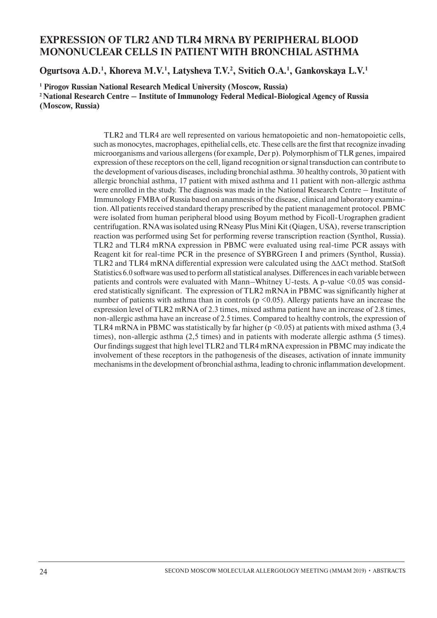## **EXPRESSION OF TLR2 AND TLR4 MRNA BY PERIPHERAL BLOOD MONONUCLEAR CELLS IN PATIENT WITH BRONCHIAL ASTHMA**

Ogurtsova A.D.<sup>1</sup>, Khoreva M.V.<sup>1</sup>, Latysheva T.V.<sup>2</sup>, Svitich O.A.<sup>1</sup>, Gankovskaya L.V.<sup>1</sup>

**1 Pirogov Russian National Research Medical University (Moscow, Russia) 2 National Research Centre – Institute of Immunology Federal Medical-Biological Agency of Russia (Moscow, Russia)**

> TLR2 and TLR4 are well represented on various hematopoietic and non-hematopoietic cells, such as monocytes, macrophages, epithelial cells, etc. These cells are the first that recognize invading microorganisms and various allergens (for example, Der p). Polymorphism of TLR genes, impaired expression of these receptors on the cell, ligand recognition or signal transduction can contribute to the development of various diseases, including bronchial asthma. 30 healthy controls, 30 patient with allergic bronchial asthma, 17 patient with mixed asthma and 11 patient with non-allergic asthma were enrolled in the study. The diagnosis was made in the National Research Centre – Institute of Immunology FMBA of Russia based on anamnesis of the disease, clinical and laboratory examination. All patients received standard therapy prescribed by the patient management protocol. PBMC were isolated from human peripheral blood using Boyum method by Ficoll-Urographen gradient centrifugation. RNA was isolated using RNeasy Plus Mini Kit (Qiagen, USA), reverse transcription reaction was performed using Set for performing reverse transcription reaction (Synthol, Russia). TLR2 and TLR4 mRNA expression in PBMC were evaluated using real-time PCR assays with Reagent kit for real-time PCR in the presence of SYBRGreen I and primers (Synthol, Russia). TLR2 and TLR4 mRNA differential expression were calculated using the ΔΔCt method. StatSoft Statistics 6.0 software was used to perform all statistical analyses. Differences in each variable between patients and controls were evaluated with Mann–Whitney U-tests. A p-value  $\leq 0.05$  was considered statistically significant. The expression of TLR2 mRNA in PBMC was significantly higher at number of patients with asthma than in controls ( $p \le 0.05$ ). Allergy patients have an increase the expression level of TLR2 mRNA of 2.3 times, mixed asthma patient have an increase of 2.8 times, non-allergic asthma have an increase of 2.5 times. Compared to healthy controls, the expression of TLR4 mRNA in PBMC was statistically by far higher ( $p \le 0.05$ ) at patients with mixed asthma (3,4 times), non-allergic asthma (2,5 times) and in patients with moderate allergic asthma (5 times). Our findings suggest that high level TLR2 and TLR4 mRNA expression in PBMC may indicate the involvement of these receptors in the pathogenesis of the diseases, activation of innate immunity mechanisms in the development of bronchial asthma, leading to chronic inflammation development.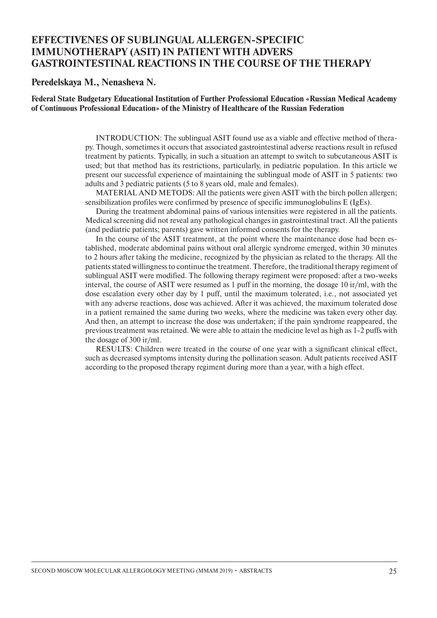## **EFFECTIVENES OF SUBLINGUAL ALLERGEN-SPECIFIC IMMUNOTHERAPY (ASIT) IN PATIENT WITH ADVERS GASTROINTESTINAL REACTIONS IN THE COURSE OF THE THERAPY**

**Peredelskaya M., Nenasheva N.**

**Federal State Budgetary Educational Institution of Further Professional Education «Russian Medical Academy of Continuous Professional Education» of the Ministry of Healthcare of the Russian Federation**

> INTRODUCTION: The sublingual ASIT found use as a viable and effective method of therapy. Though, sometimes it occurs that associated gastrointestinal adverse reactions result in refused treatment by patients. Typically, in such a situation an attempt to switch to subcutaneous ASIT is used; but that method has its restrictions, particularly, in pediatric population. In this article we present our successful experience of maintaining the sublingual mode of ASIT in 5 patients: two adults and 3 pediatric patients (5 to 8 years old, male and females).

> MATERIAL AND METODS: All the patients were given ASIT with the birch pollen allergen; sensibilization profiles were confirmed by presence of specific immunoglobulins E (IgEs).

> During the treatment abdominal pains of various intensities were registered in all the patients. Medical screening did not reveal any pathological changes in gastrointestinal tract. All the patients (and pediatric patients; parents) gave written informed consents for the therapy.

> In the course of the ASIT treatment, at the point where the maintenance dose had been established, moderate abdominal pains without oral allergic syndrome emerged, within 30 minutes to 2 hours after taking the medicine, recognized by the physician as related to the therapy. All the patients stated willingness to continue the treatment. Therefore, the traditional therapy regiment of sublingual ASIT were modified. The following therapy regiment were proposed: after a two-weeks interval, the course of ASIT were resumed as 1 puff in the morning, the dosage 10 ir/ml, with the dose escalation every other day by 1 puff, until the maximum tolerated, i.e., not associated yet with any adverse reactions, dose was achieved. After it was achieved, the maximum tolerated dose in a patient remained the same during two weeks, where the medicine was taken every other day. And then, an attempt to increase the dose was undertaken; if the pain syndrome reappeared, the previous treatment was retained. We were able to attain the medicine level as high as 1-2 puffs with the dosage of 300 ir/ml.

> RESULTS: Children were treated in the course of one year with a significant clinical effect, such as decreased symptoms intensity during the pollination season. Adult patients received ASIT according to the proposed therapy regiment during more than a year, with a high effect.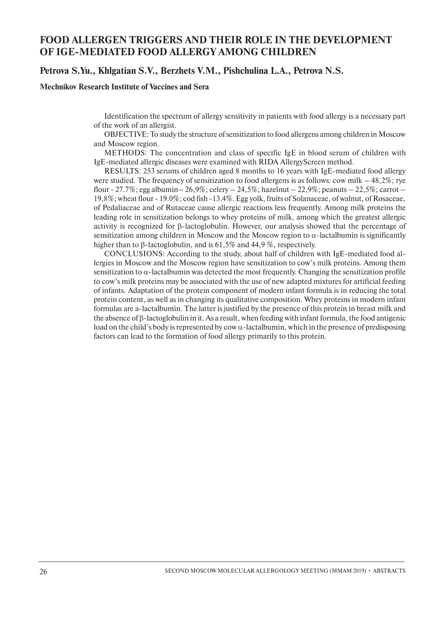## **FOOD ALLERGEN TRIGGERS AND THEIR ROLE IN THE DEVELOPMENT OF IGE-MEDIATED FOOD ALLERGY AMONG CHILDREN**

#### **Petrova S.Yu., Khlgatian S.V., Berzhets V.M., Pishchulina L.A., Petrova N.S.**

#### **Mechnikov Research Institute of Vaccines and Sera**

Identification the spectrum of allergy sensitivity in patients with food allergy is a necessary part of the work of an allergist.

OBJECTIVE: To study the structure оf sensitization to food allergens among children in Moscow and Moscow region.

METHODS: The concentration and class of specific IgE in blood serum of children with IgE-mediated allergic diseases were examined with RIDA AllergyScreen method.

RESULTS: 253 serums of children aged 8 months to 16 years with IgE-mediated food allergy were studied. The frequency of sensitization to food allergens is as follows: cow milk – 48,2%; rye flour - 27.7%; egg albumin - 26,9%; celery - 24,5%; hazelnut - 22,9%; peanuts - 22,5%; carrot -19,8%; wheat flour - 19.0%; cod fish -13.4%. Egg yolk, fruits of Solanaceae, of walnut, of Rosaceae, of Pedaliaceae and of Rutaceae cause allergic reactions less frequently. Among milk proteins the leading role in sensitization belongs to whey proteins of milk, among which the greatest allergic activity is recognized for  $\beta$ -lactoglobulin. However, our analysis showed that the percentage of sensitization among children in Moscow and the Moscow region to  $\alpha$ -lactalbumin is significantly higher than to  $\beta$ -lactoglobulin, and is 61,5% and 44,9%, respectively.

CONCLUSIONS: According to the study, about half of children with IgE-mediated food allergies in Moscow and the Moscow region have sensitization to cow's milk proteins. Among them sensitization to α-lactalbumin was detected the most frequently. Changing the sensitization profile to cow's milk proteins may be associated with the use of new adapted mixtures for artificial feeding of infants. Adaptation of the protein component of modern infant formula is in reducing the total protein content, as well as in changing its qualitative composition. Whey proteins in modern infant formulas are a-lactalbumin. The latter is justified by the presence of this protein in breast milk and the absence of  $\beta$ -lactoglobulin in it. As a result, when feeding with infant formula, the food antigenic load on the child's body is represented by cow  $\alpha$ -lactalbumin, which in the presence of predisposing factors can lead to the formation of food allergy primarily to this protein.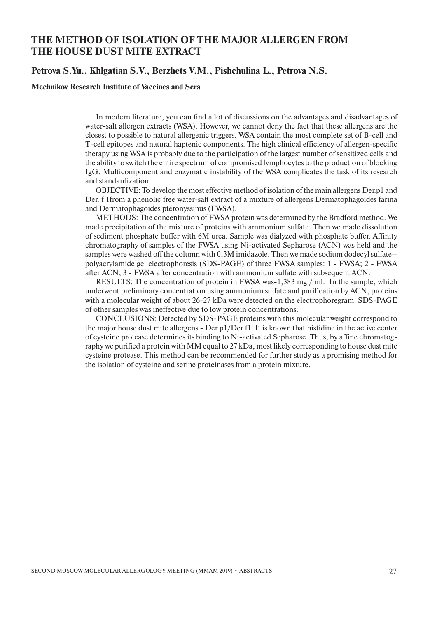## **THE METHOD OF ISOLATION OF THE MAJOR ALLERGEN FROM THE HOUSE DUST MITE EXTRACT**

#### **Petrova S.Yu., Khlgatian S.V., Berzhets V.M., Pishchulina L., Petrova N.S.**

#### **Mechnikov Research Institute of Vaccines and Sera**

In modern literature, you can find a lot of discussions on the advantages and disadvantages of water-salt allergen extracts (WSA). However, we cannot deny the fact that these allergens are the closest to possible to natural allergenic triggers. WSA contain the most complete set of B-cell and T-cell epitopes and natural haptenic components. The high clinical efficiency of allergen-specific therapy using WSA is probably due to the participation of the largest number of sensitized cells and the ability to switch the entire spectrum of compromised lymphocytes to the production of blocking IgG. Multicomponent and enzymatic instability of the WSA complicates the task of its research and standardization.

OBJECTIVE: To develop the most effective method of isolation of the main allergens Der.p1 and Der. f 1from a phenolic free water-salt extract of a mixture of allergens Dermatophagoides farina and Dermatophagoides pteronyssinus (FWSA).

METHODS: The concentration of FWSA protein was determined by the Bradford method. We made precipitation of the mixture of proteins with ammonium sulfate. Then we made dissolution of sediment phosphate buffer with 6М urea. Sample was dialyzed with phosphate buffer. Affinity chromatography of samples of the FWSA using Ni-activated Sepharose (ACN) was held and the samples were washed off the column with 0,3M imidazole. Then we made sodium dodecyl sulfate– polyacrylamide gel electrophoresis (SDS-PAGE) of three FWSA samples: 1 - FWSA; 2 - FWSA after ACN; 3 - FWSA after concentration with ammonium sulfate with subsequent ACN.

RESULTS: The concentration of protein in FWSA was-1,383 mg / ml. In the sample, which underwent preliminary concentration using ammonium sulfate and purification by ACN, proteins with a molecular weight of about 26-27 kDa were detected on the electrophoregram. SDS-PAGE of other samples was ineffective due to low protein concentrations.

Conclusions: Detected by SDS-PAGE proteins with this molecular weight correspond to the major house dust mite allergens - Der p1/Der f1. It is known that histidine in the active center of cysteine protease determines its binding to Ni-activated Sepharose. Thus, by affine chromatography we purified a protein with MM equal to 27 kDa, most likely corresponding to house dust mite cysteine protease. This method can be recommended for further study as a promising method for the isolation of cysteine and serine proteinases from a protein mixture.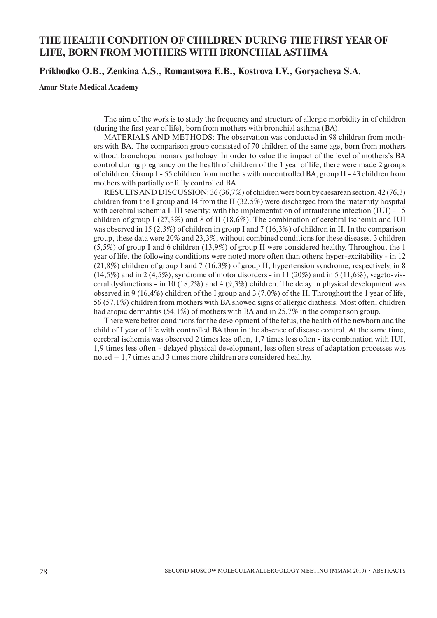## **THE HEALTH CONDITION OF CHILDREN DURING THE FIRST YEAR OF LIFE, BORN FROM MOTHERS WITH BRONCHIAL ASTHMA**

#### **Prikhodko O.B., Zenkina A.S., Romantsova E.B., Kostrova I.V., Goryacheva S.A.**

#### **Amur State Medical Academy**

The aim of the work is to study the frequency and structure of allergic morbidity in of children (during the first year of life), born from mothers with bronchial asthma (BA).

MATERIALS AND METHODS: The observation was conducted in 98 children from mothers with BA. The comparison group consisted of 70 children of the same age, born from mothers without bronchopulmonary pathology. In order to value the impact of the level of mothers's BA control during pregnancy on the health of children of the 1 year of life, there were made 2 groups of children. Group I - 55 children from mothers with uncontrolled BA, group II - 43 children from mothers with partially or fully controlled BA.

RESULTS AND DISCUSSION: 36 (36,7%) of children were born by caesarean section. 42 (76,3) children from the I group and 14 from the II (32,5%) were discharged from the maternity hospital with cerebral ischemia I-III severity; with the implementation of intrauterine infection (IUI) - 15 children of group I (27,3%) and 8 of II (18,6%). The combination of cerebral ischemia and IUI was observed in 15 (2,3%) of children in group I and 7 (16,3%) of children in II. In the comparison group, these data were 20% and 23,3%, without combined conditions for these diseases. 3 children (5,5%) of group I and 6 children (13,9%) of group II were considered healthy. Throughout the 1 year of life, the following conditions were noted more often than others: hyper-excitability - in 12  $(21,8\%)$  children of group I and 7 (16,3%) of group II, hypertension syndrome, respectively, in 8  $(14,5%)$  and in 2 (4,5%), syndrome of motor disorders - in 11 (20%) and in 5 (11,6%), vegeto-visceral dysfunctions - in 10 (18,2%) and 4 (9,3%) children. The delay in physical development was observed in 9 (16,4%) children of the I group and 3 (7,0%) of the II. Throughout the 1 year of life, 56 (57,1%) children from mothers with BA showed signs of allergic diathesis. Most often, children had atopic dermatitis (54,1%) of mothers with BA and in 25,7% in the comparison group.

There were better conditions for the development of the fetus, the health of the newborn and the child of I year of life with controlled BA than in the absence of disease control. At the same time, cerebral ischemia was observed 2 times less often, 1,7 times less often - its combination with IUI, 1,9 times less often - delayed physical development, less often stress of adaptation processes was noted – 1,7 times and 3 times more children are considered healthy.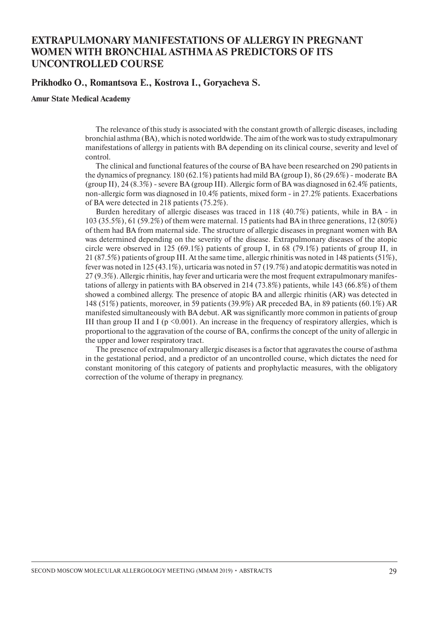## **EXTRAPULMONARY MANIFESTATIONS OF ALLERGY IN PREGNANT WOMEN WITH BRONCHIAL ASTHMA AS PREDICTORS OF ITS UNCONTROLLED COURSE**

#### **Prikhodko O., Romantsova E., Kostrova I., Goryacheva S.**

**Amur State Medical Academy**

The relevance of this study is associated with the constant growth of allergic diseases, including bronchial asthma (BA), which is noted worldwide. The aim of the work was to study extrapulmonary manifestations of allergy in patients with BA depending on its clinical course, severity and level of control.

The clinical and functional features of the course of BA have been researched on 290 patients in the dynamics of pregnancy. 180 (62.1%) patients had mild BA (group I), 86 (29.6%) - moderate BA (group II), 24  $(8.3\%)$  - severe BA (group III). Allergic form of BA was diagnosed in 62.4% patients, non-allergic form was diagnosed in 10.4% patients, mixed form - in 27.2% patients. Exacerbations of BA were detected in 218 patients (75.2%).

Burden hereditary of allergic diseases was traced in 118 (40.7%) patients, while in BA - in 103 (35.5%), 61 (59.2%) of them were maternal. 15 patients had BA in three generations, 12 (80%) of them had BA from maternal side. The structure of allergic diseases in pregnant women with BA was determined depending on the severity of the disease. Extrapulmonary diseases of the atopic circle were observed in 125 (69.1%) patients of group I, in 68 (79.1%) patients of group II, in 21 (87.5%) patients of group III. At the same time, allergic rhinitis was noted in 148 patients (51%), fever was noted in 125 (43.1%), urticaria was noted in 57 (19.7%) and atopic dermatitis was noted in 27 (9.3%). Allergic rhinitis, hay fever and urticaria were the most frequent extrapulmonary manifestations of allergy in patients with BA observed in 214 (73.8%) patients, while 143 (66.8%) of them showed a combined allergy. The presence of atopic BA and allergic rhinitis (AR) was detected in 148 (51%) patients, moreover, in 59 patients (39.9%) AR preceded BA, in 89 patients (60.1%) AR manifested simultaneously with BA debut. AR was significantly more common in patients of group III than group II and I ( $p \le 0.001$ ). An increase in the frequency of respiratory allergies, which is proportional to the aggravation of the course of BA, confirms the concept of the unity of allergic in the upper and lower respiratory tract.

The presence of extrapulmonary allergic diseases is a factor that aggravates the course of asthma in the gestational period, and a predictor of an uncontrolled course, which dictates the need for constant monitoring of this category of patients and prophylactic measures, with the obligatory correction of the volume of therapy in pregnancy.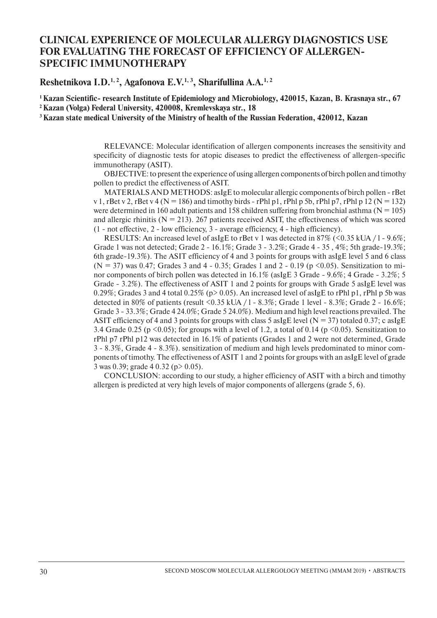## **CLINICAL EXPERIENCE OF MOLECULAR ALLERGY DIAGNOSTICS USE FOR EVALUATING THE FORECAST OF EFFICIENCY OF ALLERGEN-SPECIFIC IMMUNOTHERAPY**

**Reshetnikova I.D.1, 2, Agafonova E.V.1, 3, Sharifullina A.A.1, 2**

**1 Kazan Scientific- research Institute of Еpidemiology and Microbiology, 420015, Kazan, B. Krasnaya str., 67 2 Kazan (Volga) Federal University, 420008, Kremlevskaya str., 18** 

**3 Kazan state medical University of the Ministry of health of the Russian Federation, 420012, Kazan**

RELEVANCE: Molecular identification of allergen components increases the sensitivity and specificity of diagnostic tests for atopic diseases to predict the effectiveness of allergen-specific immunotherapy (ASIT).

OBJECTIVE: to present the experience of using allergen components of birch pollen and timothy pollen to predict the effectiveness of ASIT.

MATERIALSAND METHODS: asIgE to molecular allergic components of birch pollen - rBet v 1, rBet v 2, rBet v 4 (N = 186) and timothy birds - rPhl p1, rPhl p 5b, rPhl p7, rPhl p 12 (N = 132) were determined in 160 adult patients and 158 children suffering from bronchial asthma ( $N = 105$ ) and allergic rhinitis ( $N = 213$ ). 267 patients received ASIT, the effectiveness of which was scored (1 - not effective, 2 - low efficiency, 3 - average efficiency, 4 - high efficiency).

RESULTS: An increased level of asIgE to rBet v 1 was detected in 87% (<0.35 kUA /  $1 - 9.6\%$ ; Grade 1 was not detected; Grade 2 - 16.1%; Grade 3 - 3.2%; Grade 4 - 35 , 4%; 5th grade-19.3%; 6th grade-19.3%). The ASIT efficiency of 4 and 3 points for groups with asIgE level 5 and 6 class  $(N = 37)$  was 0.47; Grades 3 and 4 - 0.35; Grades 1 and 2 - 0.19 (p <0.05). Sensitization to minor components of birch pollen was detected in  $16.1\%$  (asIgE 3 Grade - 9.6%; 4 Grade - 3.2%; 5 Grade - 3.2%). The effectiveness of ASIT 1 and 2 points for groups with Grade 5 asIgE level was 0.29%; Grades 3 and 4 total 0.25% ( $p > 0.05$ ). An increased level of asIgE to rPhl p1, rPhl p 5b was detected in 80% of patients (result  $\langle 0.35 \text{ kUA } / 1 \rangle$  - 8.3%; Grade 1 level - 8.3%; Grade 2 - 16.6%; Grade 3 - 33.3%; Grade 4 24.0%; Grade 5 24.0%). Medium and high level reactions prevailed. The ASIT efficiency of 4 and 3 points for groups with class 5 as IgE level ( $N = 37$ ) totaled 0.37; c as IgE 3.4 Grade 0.25 (p  $\leq$  0.05); for groups with a level of 1.2, a total of 0.14 (p  $\leq$  0.05). Sensitization to rPhl p7 rPhl p12 was detected in 16.1% of patients (Grades 1 and 2 were not determined, Grade 3 - 8.3%, Grade 4 - 8.3%). sensitization of medium and high levels predominated to minor components of timothy. The effectiveness of ASIT 1 and 2 points for groups with an asIgE level of grade 3 was 0.39; grade 4 0.32 (p> 0.05).

CONCLUSION: according to our study, a higher efficiency of ASIT with a birch and timothy allergen is predicted at very high levels of major components of allergens (grade 5, 6).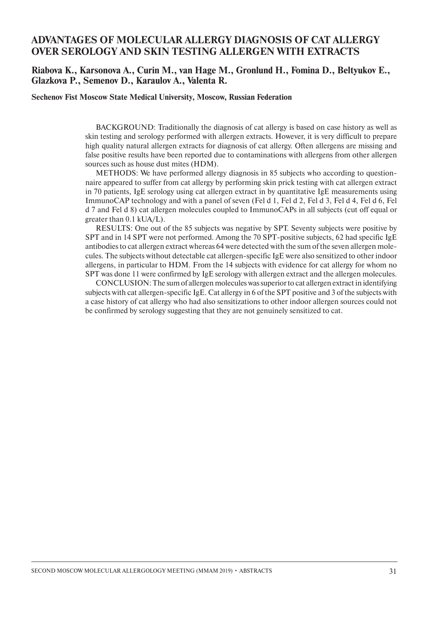## **ADVANTAGES OF MOLECULAR ALLERGY DIAGNOSIS OF CAT ALLERGY OVER SEROLOGY AND SKIN TESTING ALLERGEN WITH EXTRACTS**

#### **Riabova K., Karsonova A., Curin M., van Hage M., Gronlund H., Fomina D., Beltyukov E., Glazkova P., Semenov D., Karaulov A., Valenta R.**

**Sechenov Fist Moscow State Medical University, Moscow, Russian Federation**

BACKGROUND: Traditionally the diagnosis of cat allergy is based on case history as well as skin testing and serology performed with allergen extracts. However, it is very difficult to prepare high quality natural allergen extracts for diagnosis of cat allergy. Often allergens are missing and false positive results have been reported due to contaminations with allergens from other allergen sources such as house dust mites (HDM).

METHODS: We have performed allergy diagnosis in 85 subjects who according to questionnaire appeared to suffer from cat allergy by performing skin prick testing with cat allergen extract in 70 patients, IgE serology using cat allergen extract in by quantitative IgE measurements using ImmunoCAP technology and with a panel of seven (Fel d 1, Fel d 2, Fel d 3, Fel d 4, Fel d 6, Fel d 7 and Fel d 8) cat allergen molecules coupled to ImmunoCAPs in all subjects (cut off equal or greater than 0.1 kUA/L).

RESULTS: One out of the 85 subjects was negative by SPT. Seventy subjects were positive by SPT and in 14 SPT were not performed. Among the 70 SPT-positive subjects, 62 had specific IgE antibodies to cat allergen extract whereas 64 were detected with the sum of the seven allergen molecules. The subjects without detectable cat allergen-specific IgE were also sensitized to other indoor allergens, in particular to HDM. From the 14 subjects with evidence for cat allergy for whom no SPT was done 11 were confirmed by IgE serology with allergen extract and the allergen molecules.

CONCLUSION: The sum of allergen molecules was superior to cat allergen extract in identifying subjects with cat allergen-specific IgE. Cat allergy in 6 of the SPT positive and 3 of the subjects with a case history of cat allergy who had also sensitizations to other indoor allergen sources could not be confirmed by serology suggesting that they are not genuinely sensitized to cat.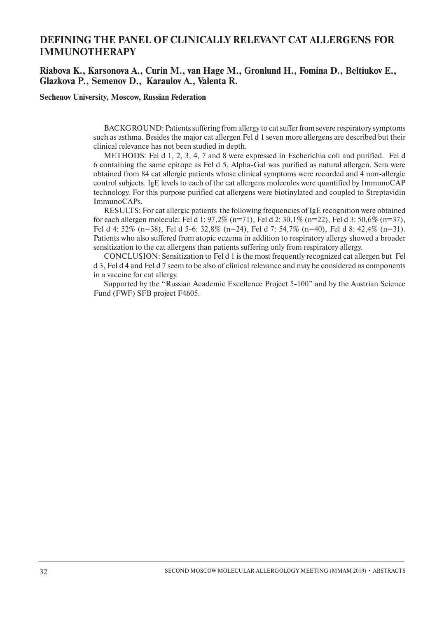## **DEFINING THE PANEL OF CLINICALLY RELEVANT CAT ALLERGENS FOR IMMUNOTHERAPY**

#### **Riabova K., Karsonova A., Curin M., van Hage M., Gronlund H., Fomina D., Beltiukov E., Glazkova P., Semenov D., Karaulov A., Valenta R.**

**Sechenov University, Moscow, Russian Federation**

BACKGROUND: Patients suffering from allergy to cat suffer from severe respiratory symptoms such as asthma. Besides the major cat allergen Fel d 1 seven more allergens are described but their clinical relevance has not been studied in depth.

METHODS: Fel d 1, 2, 3, 4, 7 and 8 were expressed in Escherichia coli and purified. Fel d 6 containing the same epitope as Fel d 5, Alpha-Gal was purified as natural allergen. Sera were obtained from 84 cat allergic patients whose clinical symptoms were recorded and 4 non-allergic control subjects. IgE levels to each of the cat allergens molecules were quantified by ImmunoCAP technology. For this purpose purified cat allergens were biotinylated and coupled to Streptavidin ImmunoCAPs.

RESULTS: For cat allergic patients the following frequencies of IgE recognition were obtained for each allergen molecule: Fel d 1:  $97,2\%$  (n=71), Fel d 2:  $30,1\%$  (n=22), Fel d 3:  $50,6\%$  (n=37), Fel d 4: 52% (n=38), Fel d 5-6: 32,8% (n=24), Fel d 7: 54,7% (n=40), Fel d 8: 42,4% (n=31). Patients who also suffered from atopic eczema in addition to respiratory allergy showed a broader sensitization to the cat allergens than patients suffering only from respiratory allergy.

CONCLUSION: Sensitization to Fel d 1 is the most frequently recognized cat allergen but Fel d 3, Fel d 4 and Fel d 7 seem to be also of clinical relevance and may be considered as components in a vaccine for cat allergy.

Supported by the "Russian Academic Excellence Project 5-100" and by the Austrian Science Fund (FWF) SFB project F4605.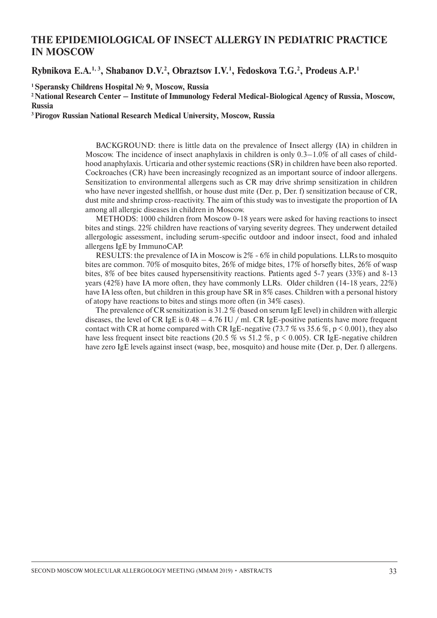## **THE EPIDEMIOLOGICAL OF INSECT ALLERGY IN PEDIATRIС PRACTICE IN MOSCOW**

Rybnikova E.A.<sup>1, 3</sup>, Shabanov D.V.<sup>2</sup>, Obraztsov I.V.<sup>1</sup>, Fedoskova T.G.<sup>2</sup>, Prodeus A.P.<sup>1</sup>

**1 Speransky Childrens Hospital № 9, Moscow, Russia**

**2 National Research Center – Institute of Immunology Federal Medical-Biological Agency of Russia, Moscow, Russia**

**3 Pirogov Russian National Research Medical University, Moscow, Russia**

BACKGROUND: there is little data on the prevalence of Insect allergy (IA) in children in Moscow. The incidence of insect anaphylaxis in children is only 0.3–1.0% of all cases of childhood anaphylaxis. Urticaria and other systemic reactions (SR) in children have been also reported. Cockroaches (CR) have been increasingly recognized as an important source of indoor allergens. Sensitization to environmental allergens such as CR may drive shrimp sensitization in children who have never ingested shellfish, or house dust mite (Der. p, Der. f) sensitization because of CR, dust mite and shrimp cross-reactivity. The aim of this study was to investigate the proportion of IA among all allergic diseases in children in Moscow.

METHODS: 1000 children from Moscow 0-18 years were asked for having reactions to insect bites and stings. 22% children have reactions of varying severity degrees. They underwent detailed allergologic assessment, including serum-specific outdoor and indoor insect, food and inhaled allergens IgE by ImmunoCAP.

RESULTS: the prevalence of IA in Moscow is 2% - 6% in child populations. LLRs to mosquito bites are common. 70% of mosquito bites, 26% of midge bites, 17% of horsefly bites, 26% of wasp bites, 8% of bee bites caused hypersensitivity reactions. Patients aged 5-7 years (33%) and 8-13 years (42%) have IA more often, they have commonly LLRs. Older children (14-18 years, 22%) have IA less often, but children in this group have SR in 8% cases. Children with a personal history of atopy have reactions to bites and stings more often (in 34% cases).

The prevalence of CR sensitization is 31.2 % (based on serum IgE level) in children with allergic diseases, the level of CR IgE is  $0.48 - 4.76$  IU / ml. CR IgE-positive patients have more frequent contact with CR at home compared with CR IgE-negative (73.7 % vs 35.6 %, p  $\leq$  0.001), they also have less frequent insect bite reactions (20.5 % vs 51.2 %,  $p < 0.005$ ). CR IgE-negative children have zero IgE levels against insect (wasp, bee, mosquito) and house mite (Der. p, Der. f) allergens.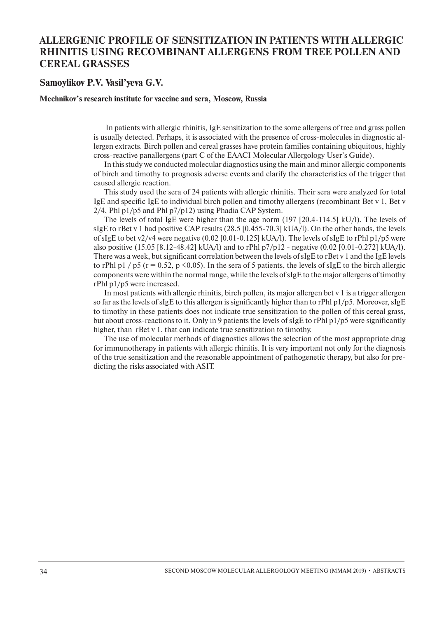## **ALLERGENIC PROFILE OF SENSITIZATION IN PATIENTS WITH ALLERGIC RHINITIS USING RECOMBINANT ALLERGENS FROM TREE POLLEN AND CEREAL GRASSES**

#### **Samoylikov P.V. Vasil'yeva G.V.**

#### **Mechnikov's research institute for vaccine and sera, Moscow, Russia**

 In patients with allergic rhinitis, IgE sensitization to the some allergens of tree and grass pollen is usually detected. Perhaps, it is associated with the presence of cross-molecules in diagnostic allergen extracts. Birch pollen and cereal grasses have protein families containing ubiquitous, highly cross-reactive panallergens (part C of the EAACI Molecular Allergology User's Guide).

In this study we conducted molecular diagnostics using the main and minor allergic components of birch and timothy to prognosis adverse events and clarify the characteristics of the trigger that caused allergic reaction.

This study used the sera of 24 patients with allergic rhinitis. Their sera were analyzed for total IgE and specific IgE to individual birch pollen and timothy allergens (recombinant Bet v 1, Bet v 2/4, Phl p1/p5 and Phl p7/p12) using Phadia CAP System.

The levels of total IgE were higher than the age norm (197 [20.4-114.5] kU/l). The levels of sIgE to rBet v 1 had positive CAP results (28.5 [0.455-70.3] kUA/l). On the other hands, the levels of sIgE to bet v2/v4 were negative (0.02 [0.01-0.125] kUA/l). The levels of sIgE to rPhl p1/p5 were also positive (15.05 [8.12-48.42] kUA/l) and to rPhl p7/p12 - negative (0.02 [0.01-0.272] kUA/l). There was a week, but significant correlation between the levels of sIgE to rBet v 1 and the IgE levels to rPhl p1 / p5 ( $r = 0.52$ , p <0.05). In the sera of 5 patients, the levels of sIgE to the birch allergic components were within the normal range, while the levels of sIgE to the major allergens of timothy rPhl p1/p5 were increased.

In most patients with allergic rhinitis, birch pollen, its major allergen bet v 1 is a trigger allergen so far as the levels of sIgE to this allergen is significantly higher than to rPhl p1/p5. Moreover, sIgE to timothy in these patients does not indicate true sensitization to the pollen of this cereal grass, but about cross-reactions to it. Only in 9 patients the levels of sIgE to rPhl p1/p5 were significantly higher, than rBet v 1, that can indicate true sensitization to timothy.

The use of molecular methods of diagnostics allows the selection of the most appropriate drug for immunotherapy in patients with allergic rhinitis. It is very important not only for the diagnosis of the true sensitization and the reasonable appointment of pathogenetic therapy, but also for predicting the risks associated with ASIT.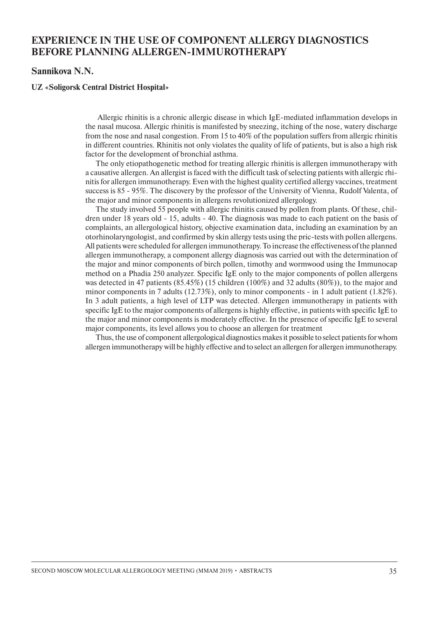## **EXPERIENCE IN THE USE OF COMPONENT ALLERGY DIAGNOSTICS BEFORE PLANNING ALLERGEN-IMMUROTHERAPY**

#### **Sannikova N.N.**

#### **UZ «Soligorsk Central District Hospital»**

 Allergic rhinitis is a chronic allergic disease in which IgE-mediated inflammation develops in the nasal mucosa. Allergic rhinitis is manifested by sneezing, itching of the nose, watery discharge from the nose and nasal congestion. From 15 to 40% of the population suffers from allergic rhinitis in different countries. Rhinitis not only violates the quality of life of patients, but is also a high risk factor for the development of bronchial asthma.

The only etiopathogenetic method for treating allergic rhinitis is allergen immunotherapy with a causative allergen. An allergist is faced with the difficult task of selecting patients with allergic rhinitis for allergen immunotherapy. Even with the highest quality certified allergy vaccines, treatment success is 85 - 95%. The discovery by the professor of the University of Vienna, Rudolf Valenta, of the major and minor components in allergens revolutionized allergology.

The study involved 55 people with allergic rhinitis caused by pollen from plants. Of these, children under 18 years old - 15, adults - 40. The diagnosis was made to each patient on the basis of complaints, an allergological history, objective examination data, including an examination by an otorhinolaryngologist, and confirmed by skin allergy tests using the pric-tests with pollen allergens. All patients were scheduled for allergen immunotherapy. To increase the effectiveness of the planned allergen immunotherapy, a component allergy diagnosis was carried out with the determination of the major and minor components of birch pollen, timothy and wormwood using the Immunocap method on a Phadia 250 analyzer. Specific IgE only to the major components of pollen allergens was detected in 47 patients (85.45%) (15 children (100%) and 32 adults (80%)), to the major and minor components in 7 adults (12.73%), only to minor components - in 1 adult patient (1.82%). In 3 adult patients, a high level of LTP was detected. Allergen immunotherapy in patients with specific IgE to the major components of allergens is highly effective, in patients with specific IgE to the major and minor components is moderately effective. In the presence of specific IgE to several major components, its level allows you to choose an allergen for treatment

Thus, the use of component allergological diagnostics makes it possible to select patients for whom allergen immunotherapy will be highly effective and to select an allergen for allergen immunotherapy.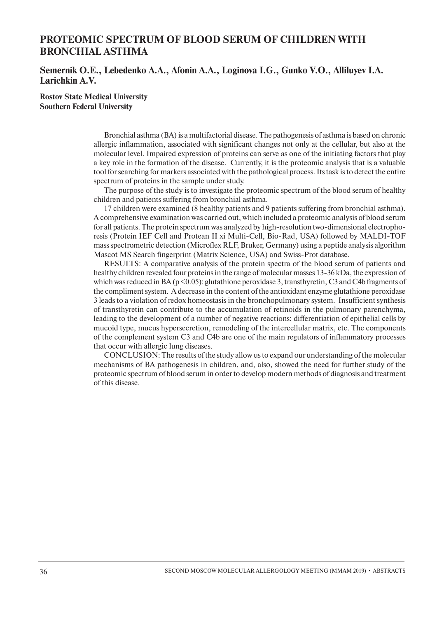## **PROTEOMIC SPECTRUM OF BLOOD SERUM OF CHILDREN WITH BRONCHIAL ASTHMA**

#### **Semernik O.E., Lebedenko A.A., Afonin A.A., Loginova I.G., Gunko V.O., Alliluyev I.A. Larichkin A.V.**

**Rostov State Medical University Southern Federal University**

> Bronchial asthma (ВА) is a multifactorial disease. The pathogenesis of asthma is based on chronic allergic inflammation, associated with significant changes not only at the cellular, but also at the molecular level. Impaired expression of proteins can serve as one of the initiating factors that play a key role in the formation of the disease. Currently, it is the proteomic analysis that is a valuable tool for searching for markers associated with the pathological process. Its task is to detect the entire spectrum of proteins in the sample under study.

> The purpose of the study is to investigate the proteomic spectrum of the blood serum of healthy children and patients suffering from bronchial asthma.

> 17 children were examined (8 healthy patients and 9 patients suffering from bronchial asthma). A comprehensive examination was carried out, which included a proteomic analysis of blood serum for all patients. The protein spectrum was analyzed by high-resolution two-dimensional electrophoresis (Protein IEF Cell and Protean II xi Multi-Cell, Bio-Rad, USA) followed by MALDI-TOF mass spectrometric detection (Microflex RLF, Bruker, Germany) using a peptide analysis algorithm Mascot MS Search fingerprint (Matrix Science, USA) and Swiss-Prot database.

> RESULTS: A comparative analysis of the protein spectra of the blood serum of patients and healthy children revealed four proteins in the range of molecular masses 13-36 kDa, the expression of which was reduced in BA ( $p \le 0.05$ ): glutathione peroxidase 3, transthyretin, C3 and C4b fragments of the compliment system. A decrease in the content of the antioxidant enzyme glutathione peroxidase 3 leads to a violation of redox homeostasis in the bronchopulmonary system. Insufficient synthesis of transthyretin can contribute to the accumulation of retinoids in the pulmonary parenchyma, leading to the development of a number of negative reactions: differentiation of epithelial cells by mucoid type, mucus hypersecretion, remodeling of the intercellular matrix, etc. The components of the complement system C3 and C4b are one of the main regulators of inflammatory processes that occur with allergic lung diseases.

> CONCLUSION: The results of the study allow us to expand our understanding of the molecular mechanisms of BA pathogenesis in children, and, also, showed the need for further study of the proteomic spectrum of blood serum in order to develop modern methods of diagnosis and treatment of this disease.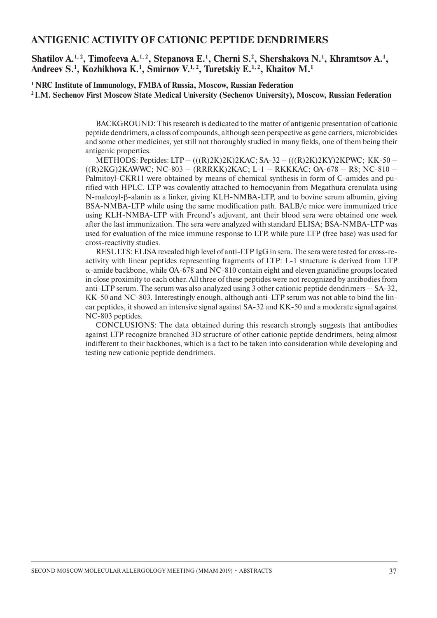#### **ANTIGENIC ACTIVITY OF CATIONIC PEPTIDE DENDRIMERS**

Shatilov A.<sup>1, 2</sup>, Timofeeva A.<sup>1, 2</sup>, Stepanova E.<sup>1</sup>, Cherni S.<sup>2</sup>, Shershakova N.<sup>1</sup>, Khramtsov A.<sup>1</sup>, **Andreev S.1 , Kozhikhova K.1 , Smirnov V.1, 2, Turetskiy E.1, 2, Khaitov M.1**

**1 NRC Institute of Immunology, FMBA of Russia, Moscow, Russian Federation 2 I.M. Sechenov First Moscow State Medical University (Sechenov University), Moscow, Russian Federation**

> BACKGROUND: This research is dedicated to the matter of antigenic presentation of cationic peptide dendrimers, a class of compounds, although seen perspective as gene carriers, microbicides and some other medicines, yet still not thoroughly studied in many fields, one of them being their antigenic properties.

> METHODS: Peptides: LTP – (((R)2K)2K)2KAC; SA-32 – (((R)2K)2KY)2KPWC; KK-50 – ((R)2KG)2KAWWC; NC-803 – (RRRKK)2KAC; L-1 – RKKKAC; OA-678 – R8; NC-810 – Palmitoyl-CKR11 were obtained by means of chemical synthesis in form of C-amides and purified with HPLC. LTP was covalently attached to hemocyanin from Megathura crenulata using N-maleoyl-β-alanin as a linker, giving KLH-NMBA-LTP, and to bovine serum albumin, giving BSA-NMBA-LTP while using the same modification path. BALB/c mice were immunized trice using KLH-NMBA-LTP with Freund's adjuvant, ant their blood sera were obtained one week after the last immunization. The sera were analyzed with standard ELISA; BSA-NMBA-LTP was used for evaluation of the mice immune response to LTP, while pure LTP (free base) was used for cross-reactivity studies.

> RESULTS: ELISA revealed high level of anti-LTP IgG in sera. The sera were tested for cross-reactivity with linear peptides representing fragments of LTP: L-1 structure is derived from LTP  $\alpha$ -amide backbone, while OA-678 and NC-810 contain eight and eleven guanidine groups located in close proximity to each other. All three of these peptides were not recognized by antibodies from anti-LTP serum. The serum was also analyzed using 3 other cationic peptide dendrimers – SA-32, KK-50 and NC-803. Interestingly enough, although anti-LTP serum was not able to bind the linear peptides, it showed an intensive signal against SA-32 and KK-50 and a moderate signal against NC-803 peptides.

> CONCLUSIONS: The data obtained during this research strongly suggests that antibodies against LTP recognize branched 3D structure of other cationic peptide dendrimers, being almost indifferent to their backbones, which is a fact to be taken into consideration while developing and testing new cationic peptide dendrimers.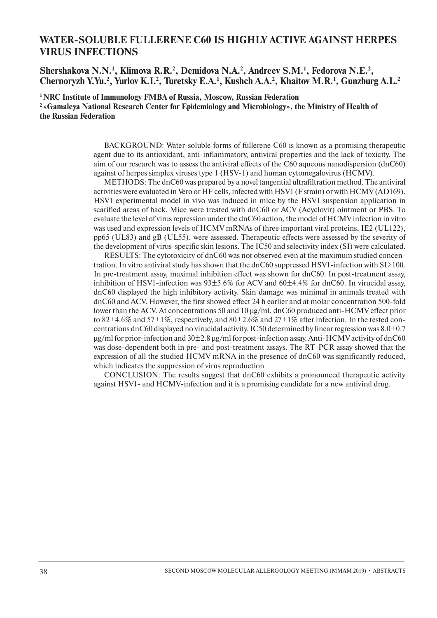## **WATER-SOLUBLE FULLERENE C60 IS HIGHLY ACTIVE AGAINST HERPES VIRUS INFECTIONS**

Shershakova N.N.<sup>1</sup>, Klimova R.R.<sup>2</sup>, Demidova N.A.<sup>2</sup>, Andreev S.M.<sup>1</sup>, Fedorova N.E.<sup>2</sup>, Chernoryzh Y.Yu.<sup>2</sup>, Yurlov K.I.<sup>2</sup>, Turetsky E.A.<sup>1</sup>, Kushch A.A.<sup>2</sup>, Khaitov M.R.<sup>1</sup>, Gunzburg A.L.<sup>2</sup>

**1 NRC Institute of Immunology FMBA of Russia, Moscow, Russian Federation 2 «Gamaleya National Research Center for Epidemiology and Microbiology», the Ministry of Health of the Russian Federation**

> BACKGROUND: Water-soluble forms of fullerene C60 is known as a promising therapeutic agent due to its antioxidant, anti-inflammatory, antiviral properties and the lack of toxicity. The aim of our research was to assess the antiviral effects of the C60 aqueous nanodispersion (dnC60) against of herpes simplex viruses type 1 (HSV-1) and human cytomegalovirus (HCMV).

> METHODS: The dnC60 was prepared by a novel tangential ultrafiltration method. The antiviral activities were evaluated in Vero or HF cells, infected with HSV1 (F strain) or with HCMV (AD169). HSV1 experimental model in vivo was induced in mice by the HSV1 suspension application in scarified areas of back. Mice were treated with dnC60 or ACV (Acyclovir) ointment or PBS. To evaluate the level of virus repression under the dnC60 action, the model of HCMV infection in vitro was used and expression levels of HCMV mRNAs of three important viral proteins, IE2 (UL122), pp65 (UL83) and gB (UL55), were assessed. Therapeutic effects were assessed by the severity of the development of virus-specific skin lesions. The IC50 and selectivity index (SI) were calculated.

> RESULTS: The cytotoxicity of dnC60 was not observed even at the maximum studied concentration. In vitro antiviral study has shown that the dnC60 suppressed HSV1-infection with SI>100. In pre-treatment assay, maximal inhibition effect was shown for dnC60. In post-treatment assay, inhibition of HSV1-infection was 93±5.6% for ACV and 60±4.4% for dnC60. In virucidal assay, dnC60 displayed the high inhibitory activity. Skin damage was minimal in animals treated with dnC60 and ACV. However, the first showed effect 24 h earlier and at molar concentration 500-fold lower than the ACV. At concentrations 50 and 10 µg/ml, dnC60 produced anti-HCMV effect prior to 82 $\pm$ 4.6% and 57 $\pm$ 1%, respectively, and 80 $\pm$ 2.6% and 27 $\pm$ 1% after infection. In the tested concentrations dnC60 displayed no virucidal activity. IC50 determined by linear regression was  $8.0\pm0.7$  $\mu$ g/ml for prior-infection and 30 $\pm$ 2.8  $\mu$ g/ml for post-infection assay. Anti-HCMV activity of dnC60 was dose-dependent both in pre- and post-treatment assays. The RT-PCR assay showed that the expression of all the studied HCMV mRNA in the presence of dnC60 was significantly reduced, which indicates the suppression of virus reproduction

> CONCLUSION: The results suggest that dnC60 exhibits a pronounced therapeutic activity against HSV1- and HCMV-infection and it is a promising candidate for a new antiviral drug.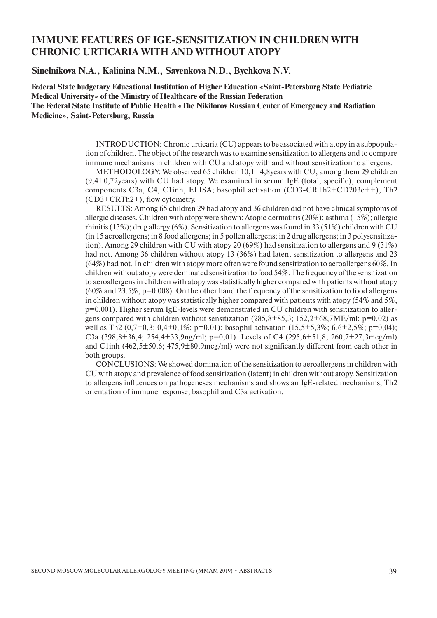## **IMMUNE FEATURES OF IGE-SENSITIZATION IN CHILDREN WITH CHRONIC URTICARIA WITH AND WITHOUT ATOPY**

**Sinelnikova N.A., Kalinina N.M., Savenkova N.D., Bychkova N.V.**

**Federal State budgetary Educational Institution of Higher Education «Saint-Petersburg State Pediatric Medical University» of the Ministry of Healthcare of the Russian Federation The Federal State Institute of Public Health «The Nikiforov Russian Center of Emergency and Radiation Medicine», Saint-Petersburg, Russia**

> INTRODUCTION: Chronic urticaria (CU) appears to be associated with atopy in a subpopulation of children. The object of the research was to examine sensitization to allergens and to compare immune mechanisms in children with CU and atopy with and without sensitization to allergens.

> METHODOLOGY: We observed 65 children  $10,1\pm 4,8$  years with CU, among them 29 children  $(9,4\pm0,72)$ years) with CU had atopy. We examined in serum IgE (total, specific), complement components C3a, C4, C1inh, ELISA; basophil activation (CD3-CRTh2+CD203c++), Th2 (СD3+CRTh2+), flow cytometry.

> RESULTS: Among 65 children 29 had atopy and 36 children did not have clinical symptoms of allergic diseases. Children with atopy were shown: Atopic dermatitis (20%); asthma (15%); allergic rhinitis (13%); drug allergy (6%). Sensitization to allergens was found in 33 (51%) children with CU (in 15 aeroallergens; in 8 food allergens; in 5 pollen allergens; in 2 drug allergens; in 3 polysensitization). Among 29 children with CU with atopy 20 (69%) had sensitization to allergens and 9 (31%) had not. Among 36 children without atopy 13 (36%) had latent sensitization to allergens and 23 (64%) had not. In children with atopy more often were found sensitization to aeroallergens 60%. In children without atopy were deminated sensitization to food 54%. The frequency of the sensitization to aeroallergens in children with atopy was statistically higher compared with patients without atopy  $(60\%$  and  $23.5\%$ ,  $p=0.008$ ). On the other hand the frequency of the sensitization to food allergens in children without atopy was statistically higher compared with patients with atopy (54% and 5%, p=0.001). Higher serum IgE-levels were demonstrated in CU children with sensitization to allergens compared with children without sensitization  $(285,8\pm 85,3; 152,2\pm 68,7\text{ME/ml}; p=0,02)$  as well as Th2  $(0.7\pm0.3; 0.4\pm0.1\%)$ ; p=0,01); basophil activation  $(15.5\pm5.3\%; 6.6\pm2.5\%)$ ; p=0,04); C3a (398,8 $\pm$ 36,4; 254,4 $\pm$ 33,9ng/ml; p=0,01). Levels of C4 (295,6 $\pm$ 51,8; 260,7 $\pm$ 27,3mcg/ml) and C1inh (462,5±50,6; 475,9±80,9mcg/ml) were not significantly different from each other in both groups.

> CONCLUSIONS: We showed domination of the sensitization to aeroallergens in children with CU with atopy and prevalence of food sensitization (latent) in children without atopy. Sensitization to allergens influences on pathogeneses mechanisms and shows an IgE-related mechanisms, Th2 orientation of immune response, basophil and C3a activation.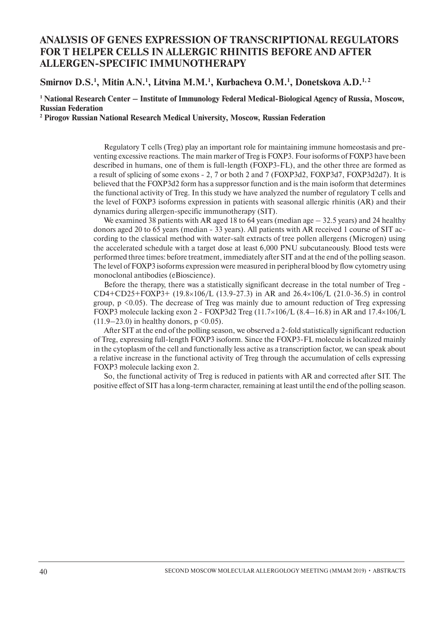## **ANALYSIS OF GENES EXPRESSION OF TRANSCRIPTIONAL REGULATORS FOR T HELPER CELLS IN ALLERGIC RHINITIS BEFORE AND AFTER ALLERGEN-SPECIFIC IMMUNOTHERAPY**

#### Smirnov D.S.<sup>1</sup>, Mitin A.N.<sup>1</sup>, Litvina M.M.<sup>1</sup>, Kurbacheva O.M.<sup>1</sup>, Donetskova A.D.<sup>1,2</sup>

<sup>1</sup> National Research Center – Institute of Immunology Federal Medical-Biological Agency of Russia, Moscow, **Russian Federation** 

**2 Pirogov Russian National Research Medical University, Moscow, Russian Federation**

Regulatory T cells (Treg) play an important role for maintaining immune homeostasis and preventing excessive reactions. The main marker of Treg is FOXP3. Four isoforms of FOXP3 have been described in humans, one of them is full-length (FOXP3-FL), and the other three are formed as a result of splicing of some exons - 2, 7 or both 2 and 7 (FOXP3d2, FOXP3d7, FOXP3d2d7). It is believed that the FOXP3d2 form has a suppressor function and is the main isoform that determines the functional activity of Treg. In this study we have analyzed the number of regulatory T cells and the level of FOXP3 isoforms expression in patients with seasonal allergic rhinitis (AR) and their dynamics during allergen-specific immunotherapy (SIT).

We examined 38 patients with AR aged 18 to 64 years (median age  $-$  32.5 years) and 24 healthy donors aged 20 to 65 years (median - 33 years). All patients with AR received 1 course of SIT according to the classical method with water-salt extracts of tree pollen allergens (Microgen) using the accelerated schedule with a target dose at least 6,000 PNU subcutaneously. Blood tests were performed three times: before treatment, immediately after SIT and at the end of the polling season. The level of FOXP3 isoforms expression were measured in peripheral blood by flow cytometry using monoclonal antibodies (eBioscience).

Before the therapy, there was a statistically significant decrease in the total number of Treg - CD4+CD25+FOXP3+ (19.8×106/L (13.9-27.3) in AR and 26.4×106/L (21.0-36.5) in control group,  $p \leq 0.05$ ). The decrease of Treg was mainly due to amount reduction of Treg expressing FOXP3 molecule lacking exon 2 - FOXP3d2 Treg (11.7×106/L (8.4–16.8) in AR and 17.4×106/L  $(11.9-23.0)$  in healthy donors, p < 0.05).

After SIT at the end of the polling season, we observed a 2-fold statistically significant reduction of Treg, expressing full-length FOXP3 isoform. Since the FOXP3-FL molecule is localized mainly in the cytoplasm of the cell and functionally less active as a transcription factor, we can speak about a relative increase in the functional activity of Treg through the accumulation of cells expressing FOXP3 molecule lacking exon 2.

So, the functional activity of Treg is reduced in patients with AR and corrected after SIT. The positive effect of SIT has a long-term character, remaining at least until the end of the polling season.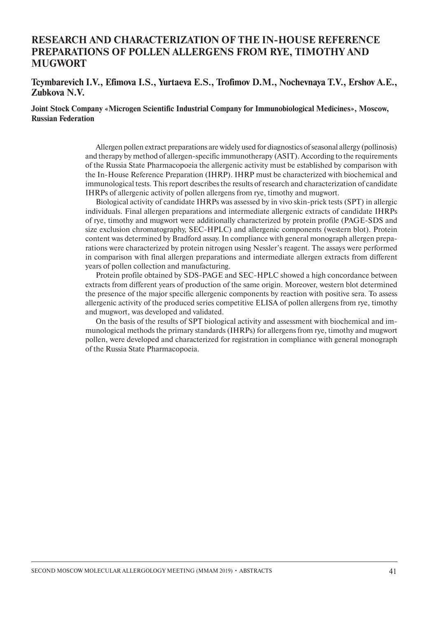## **RESEARCH AND CHARACTERIZATION OF THE IN-HOUSE REFERENCE PREPARATIONS OF POLLEN ALLERGENS FROM RYE, TIMOTHY AND MUGWORT**

#### **Tcymbarevich I.V., Efimova I.S., Yurtaeva E.S., Trofimov D.M., Nochevnaya T.V., Ershov A.E., Zubkova N.V.**

#### **Joint Stock Company «Microgen Scientific Industrial Company for Immunobiological Medicines», Moscow, Russian Federation**

Allergen pollen extract preparations are widely used for diagnostics of seasonal allergy (pollinosis) and therapy by method of allergen-specific immunotherapy (ASIT). According to the requirements of the Russia State Pharmacopoeia the allergenic activity must be established by comparison with the In-House Reference Preparation (IHRP). IHRP must be characterized with biochemical and immunological tests. This report describes the results of research and characterization of candidate IHRPs of allergenic activity of pollen allergens from rye, timothy and mugwort.

Biological activity of candidate IHRPs was assessed by in vivo skin-prick tests (SPT) in allergic individuals. Final allergen preparations and intermediate allergenic extracts of candidate IHRPs of rye, timothy and mugwort were additionally characterized by protein profile (PAGE-SDS and size exclusion chromatography, SEC-HPLC) and allergenic components (western blot). Protein content was determined by Bradford assay. In compliance with general monograph allergen preparations were characterized by protein nitrogen using Nessler's reagent. The assays were performed in comparison with final allergen preparations and intermediate allergen extracts from different years of pollen collection and manufacturing.

Protein profile obtained by SDS-PAGE and SEC-HPLC showed a high concordance between extracts from different years of production of the same origin. Moreover, western blot determined the presence of the major specific allergenic components by reaction with positive sera. To assess allergenic activity of the produced series competitive ELISA of pollen allergens from rye, timothy and mugwort, was developed and validated.

On the basis of the results of SPT biological activity and assessment with biochemical and immunological methods the primary standards (IHRPs) for allergens from rye, timothy and mugwort pollen, were developed and characterized for registration in compliance with general monograph of the Russia State Pharmacopoeia.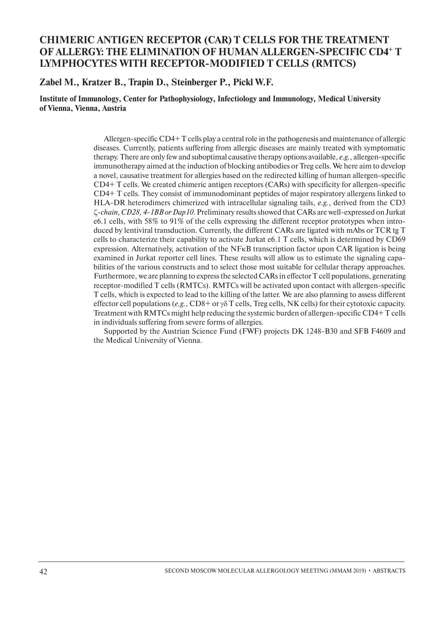## **CHIMERIC ANTIGEN RECEPTOR (CAR) T CELLS FOR THE TREATMENT OF ALLERGY: THE ELIMINATION OF HUMAN ALLERGEN-SPECIFIC CD4+ T LYMPHOCYTES WITH RECEPTOR-MODIFIED T CELLS (RMTCs)**

**Zabel M., Kratzer B., Trapin D., Steinberger P., Pickl W.F.**

**Institute of Immunology, Center for Pathophysiology, Infectiology and Immunology, Medical University of Vienna, Vienna, Austria**

> Allergen-specific CD4+ T cells play a central role in the pathogenesis and maintenance of allergic diseases. Currently, patients suffering from allergic diseases are mainly treated with symptomatic therapy. There are only few and suboptimal causative therapy options available, *e.g.*, allergen-specific immunotherapy aimed at the induction of blocking antibodies or Treg cells. We here aim to develop a novel, causative treatment for allergies based on the redirected killing of human allergen-specific CD4+ T cells. We created chimeric antigen receptors (CARs) with specificity for allergen-specific CD4+ T cells. They consist of immunodominant peptides of major respiratory allergens linked to HLA-DR heterodimers chimerized with intracellular signaling tails, *e.g.*, derived from the CD3 ζ*-chain, CD28, 4-1BB or Dap10*. Preliminary results showed that CARs are well-expressed on Jurkat e6.1 cells, with 58% to 91% of the cells expressing the different receptor prototypes when introduced by lentiviral transduction. Currently, the different CARs are ligated with mAbs or TCR tg T cells to characterize their capability to activate Jurkat e6.1 T cells, which is determined by CD69 expression. Alternatively, activation of the NFkB transcription factor upon CAR ligation is being examined in Jurkat reporter cell lines. These results will allow us to estimate the signaling capabilities of the various constructs and to select those most suitable for cellular therapy approaches. Furthermore, we are planning to express the selected CARs in effector T cell populations, generating receptor-modified T cells (RMTCs). RMTCs will be activated upon contact with allergen-specific T cells, which is expected to lead to the killing of the latter. We are also planning to assess different effector cell populations (*e.g.*, CD8+ or γδ T cells, Treg cells, NK cells) for their cytotoxic capacity. Treatment with RMTCs might help reducing the systemic burden of allergen-specific CD4+ T cells in individuals suffering from severe forms of allergies.

> Supported by the Austrian Science Fund (FWF) projects DK 1248-B30 and SFB F4609 and the Medical University of Vienna.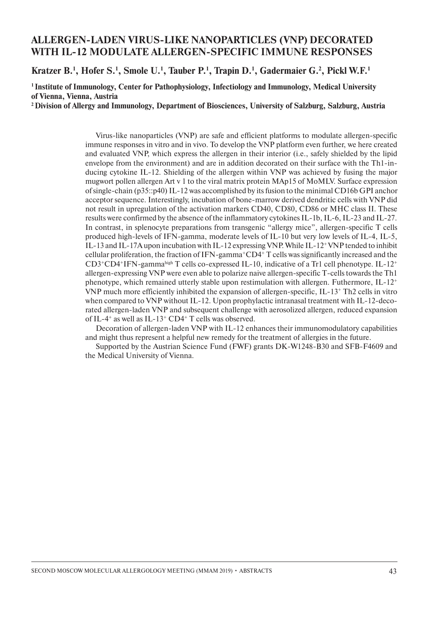## **ALLERGEN-LADEN VIRUS-LIKE NANOPARTICLES (VNP) DECORATED WITH IL-12 MODULATE ALLERGEN-SPECIFIC IMMUNE RESPONSES**

**Kratzer B.1 , Hofer S.1 , Smole U.1 , Tauber P.1 , Trapin D.1 , Gadermaier G.2 , Pickl W.F.1**

**1 Institute of Immunology, Center for Pathophysiology, Infectiology and Immunology, Medical University of Vienna, Vienna, Austria**

**2 Division of Allergy and Immunology, Department of Biosciences, University of Salzburg, Salzburg, Austria**

Virus-like nanoparticles (VNP) are safe and efficient platforms to modulate allergen-specific immune responses in vitro and in vivo. To develop the VNP platform even further, we here created and evaluated VNP, which express the allergen in their interior (i.e., safely shielded by the lipid envelope from the environment) and are in addition decorated on their surface with the Th1-inducing cytokine IL-12. Shielding of the allergen within VNP was achieved by fusing the major mugwort pollen allergen Art v 1 to the viral matrix protein MAp15 of MoMLV. Surface expression of single-chain (p35::p40) IL-12 was accomplished by its fusion to the minimal CD16b GPI anchor acceptor sequence. Interestingly, incubation of bone-marrow derived dendritic cells with VNP did not result in upregulation of the activation markers CD40, CD80, CD86 or MHC class II. These results were confirmed by the absence of the inflammatory cytokines IL-1b, IL-6, IL-23 and IL-27. In contrast, in splenocyte preparations from transgenic "allergy mice", allergen-specific T cells produced high-levels of IFN-gamma, moderate levels of IL-10 but very low levels of IL-4, IL-5, IL-13 and IL-17A upon incubation with IL-12 expressing VNP. While IL-12+ VNP tended to inhibit cellular proliferation, the fraction of IFN-gamma+CD4+ T cells was significantly increased and the CD3+CD4+IFN-gammahigh T cells co-expressed IL-10, indicative of a Tr1 cell phenotype. IL-12+ allergen-expressing VNP were even able to polarize naive allergen-specific T-cells towards the Th1 phenotype, which remained utterly stable upon restimulation with allergen. Futhermore,  $IL-12^+$ VNP much more efficiently inhibited the expansion of allergen-specific, IL-13+ Th2 cells in vitro when compared to VNP without IL-12. Upon prophylactic intranasal treatment with IL-12-decorated allergen-laden VNP and subsequent challenge with aerosolized allergen, reduced expansion of IL-4<sup>+</sup> as well as IL-13<sup>+</sup> CD4<sup>+</sup> T cells was observed.

Decoration of allergen-laden VNP with IL-12 enhances their immunomodulatory capabilities and might thus represent a helpful new remedy for the treatment of allergies in the future.

Supported by the Austrian Science Fund (FWF) grants DK-W1248-B30 and SFB-F4609 and the Medical University of Vienna.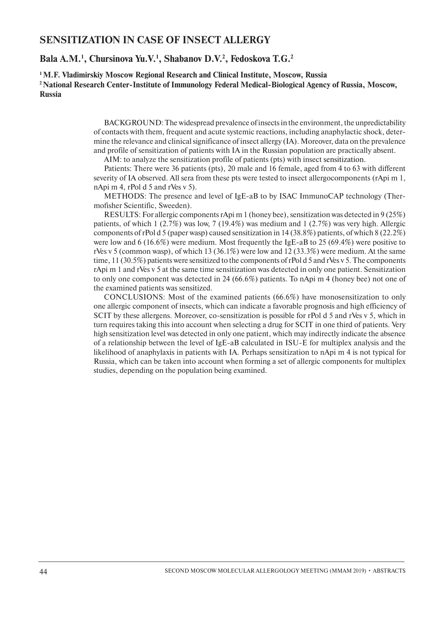#### **SENSITIZATION IN CASE OF INSECT ALLERGY**

#### **Bala A.M.1 , Chursinova Yu.V.1 , Shabanov D.V.2 , Fedoskova T.G.2**

**1 M.F. Vladimirskiy Moscow Regional Research and Clinical Institute, Moscow, Russia 2 National Research Center-Institute of Immunology Federal Medical-Biological Agency of Russia, Moscow, Russia**

> BACKGROUND: The widespread prevalence of insects in the environment, the unpredictability of contacts with them, frequent and acute systemic reactions, including anaphylactic shock, determine the relevance and clinical significance of insect allergy (IA). Moreover, data on the prevalence and profile of sensitization of patients with IA in the Russian population are practically absent.

AIM: to analyze the sensitization profile of patients (pts) with insect sensitization.

Patients: There were 36 patients (pts), 20 male and 16 female, aged from 4 to 63 with different severity of IA observed. All sera from these pts were tested to insect allergocomponents (rApi m 1, nApi m 4, rPol d 5 and rVes v 5).

METHODS: The presence and level of IgE-aB to by ISAC ImmunoCAP technology (Thermofisher Scientific, Sweeden).

RESULTS: For allergic components rApi m 1 (honey bee), sensitization was detected in 9 (25%) patients, of which 1 (2.7%) was low, 7 (19.4%) was medium and 1 (2.7%) was very high. Allergic components of rPol d 5 (paper wasp) caused sensitization in 14 (38.8%) patients, of which 8 (22.2%) were low and 6 (16.6%) were medium. Most frequently the IgE-aB to 25 (69.4%) were positive to rVes v 5 (common wasp), of which 13 (36.1%) were low and 12 (33.3%) were medium. At the same time, 11 (30.5%) patients were sensitized to the components of rPol d 5 and rVes v 5. The components rApi m 1 and rVes v 5 at the same time sensitization was detected in only one patient. Sensitization to only one component was detected in 24 (66.6%) patients. To nApi m 4 (honey bee) not one of the examined patients was sensitized.

CONCLUSIONS: Most of the examined patients (66.6%) have monosensitization to only one allergic component of insects, which can indicate a favorable prognosis and high efficiency of SCIT by these allergens. Moreover, co-sensitization is possible for rPol d 5 and rVes v 5, which in turn requires taking this into account when selecting a drug for SCIT in one third of patients. Very high sensitization level was detected in only one patient, which may indirectly indicate the absence of a relationship between the level of IgE-aB calculated in ISU-E for multiplex analysis and the likelihood of anaphylaxis in patients with IA. Perhaps sensitization to nApi m 4 is not typical for Russia, which can be taken into account when forming a set of allergic components for multiplex studies, depending on the population being examined.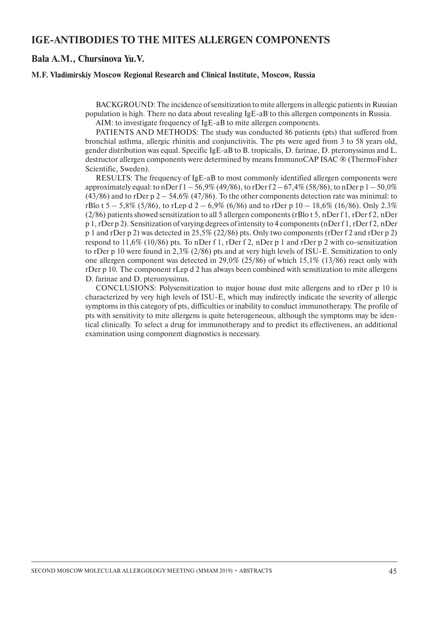### **IgE-antibodies to the mites alleRgen components**

#### **Bala A.M., Chursinova Yu.V.**

#### **M.F. Vladimirskiy Moscow Regional Research and Clinical Institute, Moscow, Russia**

BACKGROUND: The incidence of sensitization to mite allergens in allergic patients in Russian population is high. There no data about revealing IgE-aB to this allergen components in Russia.

AIM: to investigate frequency of IgE-aB to mite allergen components.

PATIENTS AND METHODS: The study was conducted 86 patients (pts) that suffered from bronchial asthma, allergic rhinitis and conjunctivitis. The pts were aged from 3 to 58 years old, gender distribution was equal. Specific IgE-aB to B. tropicalis, D. farinae, D. pteronyssinus and L. destructor allergen components were determined by means ImmunoCAP ISAC ® (ThermoFisher Scientific, Sweden).

RESULTS: The frequency of  $IgE-aB$  to most commonly identified allergen components were approximately equal: to nDer f  $1 - 56.9\%$  (49/86), to rDer f  $2 - 67.4\%$  (58/86), to nDer p  $1 - 50.0\%$ (43/86) and to rDer p  $2 - 54,6\%$  (47/86). To the other components detection rate was minimal: to rBlo t  $5 - 5.8\%$  (5/86), to rLep d  $2 - 6.9\%$  (6/86) and to rDer p  $10 - 18.6\%$  (16/86). Only 2.3% (2/86) patients showed sensitization to all 5 allergen components (rBlo t 5, nDer f 1, rDer f 2, nDer p 1, rDer p 2). Sensitization of varying degrees of intensity to 4 components (nDer f 1, rDer f 2, nDer p 1 and rDer p 2) was detected in 25,5% (22/86) pts. Only two components (rDer f 2 and rDer p 2) respond to 11,6% (10/86) pts. To nDer f 1, rDer f 2, nDer p 1 and rDer p 2 with co-sensitization to rDer p 10 were found in 2,3% (2/86) pts and at very high levels of ISU-E. Sensitization to only one allergen component was detected in 29,0% (25/86) of which 15,1% (13/86) react only with rDer p 10. The component rLep d 2 has always been combined with sensitization to mite allergens D. farinae and D. pteronyssinus.

Conclusions: Polysensitization to major house dust mite allergens and to rDer p 10 is characterized by very high levels of ISU-E, which may indirectly indicate the severity of allergic symptoms in this category of pts, difficulties or inability to conduct immunotherapy. The profile of pts with sensitivity to mite allergens is quite heterogeneous, although the symptoms may be identical clinically. To select a drug for immunotherapy and to predict its effectiveness, an additional examination using component diagnostics is necessary.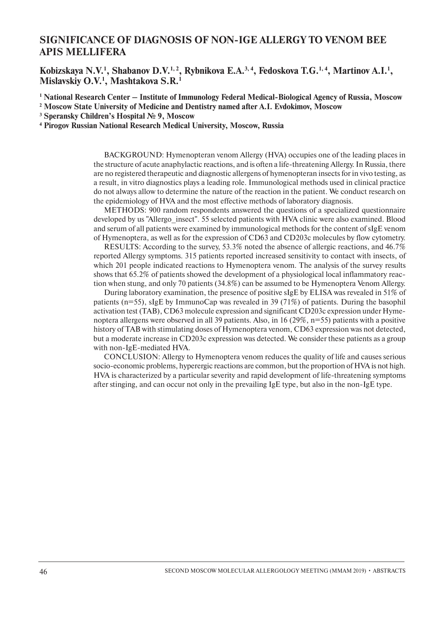## **SIGNIFICANCE OF DIAGNOSIS OF NON-IgE ALLERGY TO VENOM BEE APIS MELLIFERA**

Kobizskaya N.V.<sup>1</sup>, Shabanov D.V.<sup>1, 2</sup>, Rybnikova E.A.<sup>3, 4</sup>, Fedoskova T.G.<sup>1, 4</sup>, Martinov A.I.<sup>1</sup>, **Mislavskiy O.V.1 , Mashtakova S.R.1**

**1 National Research Center – Institute of Immunology Federal Medical-Biological Agency of Russia, Moscow**

**2 Moscow State University of Medicine and Dentistry named after A.I. Evdokimov, Moscow** 

**3 Speransky Children's Hospital № 9, Moscow**

**4 Pirogov Russian National Research Medical University, Moscow, Russia**

BACKGROUND: Hymenopteran venom Allergy (HVA) occupies one of the leading places in the structure of acute anaphylactic reactions, and is often a life-threatening Allergy. In Russia, there are no registered therapeutic and diagnostic allergens of hymenopteran insects for in vivo testing, as a result, in vitro diagnostics plays a leading role. Immunological methods used in clinical practice do not always allow to determine the nature of the reaction in the patient. We conduct research on the epidemiology of HVA and the most effective methods of laboratory diagnosis.

METHODS: 900 random respondents answered the questions of a specialized questionnaire developed by us "Allergo\_insect". 55 selected patients with HVA clinic were also examined. Blood and serum of all patients were examined by immunological methods for the content of sIgE venom of Hymenoptera, as well as for the expression of CD63 and CD203c molecules by flow cytometry.

RESULTS: According to the survey, 53.3% noted the absence of allergic reactions, and 46.7% reported Allergy symptoms. 315 patients reported increased sensitivity to contact with insects, of which 201 people indicated reactions to Hymenoptera venom. The analysis of the survey results shows that 65.2% of patients showed the development of a physiological local inflammatory reaction when stung, and only 70 patients (34.8%) can be assumed to be Hymenoptera Venom Allergy.

During laboratory examination, the presence of positive sIgE by ELISA was revealed in 51% of patients (n=55), sIgE by ImmunoCap was revealed in 39 (71%) of patients. During the basophil activation test (TAB), CD63 molecule expression and significant CD203c expression under Hymenoptera allergens were observed in all 39 patients. Also, in 16 (29%, n=55) patients with a positive history of TAB with stimulating doses of Hymenoptera venom, CD63 expression was not detected, but a moderate increase in CD203c expression was detected. We consider these patients as a group with non-IgE-mediated HVA.

Conclusion: Allergy to Hymenoptera venom reduces the quality of life and causes serious socio-economic problems, hyperergic reactions are common, but the proportion of HVA is not high. HVA is characterized by a particular severity and rapid development of life-threatening symptoms after stinging, and can occur not only in the prevailing IgE type, but also in the non-IgE type.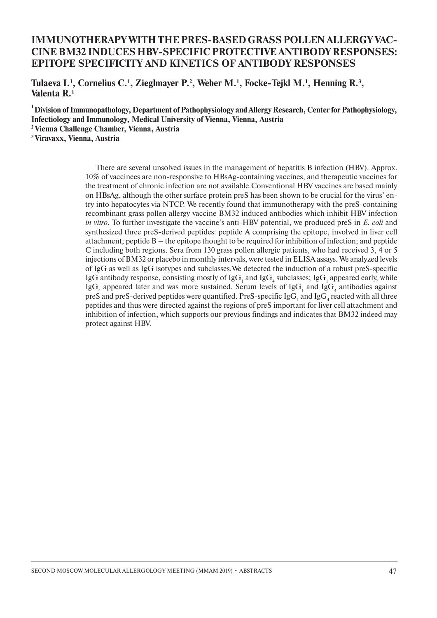## **Immunotherapy with the pres-based grass pollen allergy vaccine BM32 induces HBV-specific protective antibodyresponses: Epitope specificity and kinetics of antibody responses**

Tulaeva I.<sup>1</sup>, Cornelius C.<sup>1</sup>, Zieglmayer P.<sup>2</sup>, Weber M.<sup>1</sup>, Focke-Tejkl M.<sup>1</sup>, Henning R.<sup>3</sup>, **Valenta R.1**

**1 Division of Immunopathology, Department of Pathophysiology and Allergy Research, Center for Pathophysiology, Infectiology and Immunology, Medical University of Vienna, Vienna, Austria 2 Vienna Challenge Chamber, Vienna, Austria 3 Viravaxx, Vienna, Austria**

> There are several unsolved issues in the management of hepatitis B infection (HBV). Approx. 10% of vaccinees are non-responsive to HBsAg-containing vaccines, and therapeutic vaccines for the treatment of chronic infection are not available.Conventional HBV vaccines are based mainly on HBsAg, although the other surface protein preS has been shown to be crucial for the virus' entry into hepatocytes via NTCP. We recently found that immunotherapy with the preS-containing recombinant grass pollen allergy vaccine BM32 induced antibodies which inhibit HBV infection *in vitro*. To further investigate the vaccine's anti-HBV potential, we produced preS in *E. coli* and synthesized three preS-derived peptides: peptide A comprising the epitope, involved in liver cell attachment; peptide B – the epitope thought to be required for inhibition of infection; and peptide С including both regions. Sera from 130 grass pollen allergic patients, who had received 3, 4 or 5 injections of BM32 or placebo in monthly intervals, were tested in ELISA assays. We analyzed levels of IgG as well as IgG isotypes and subclasses.We detected the induction of a robust preS-specific IgG antibody response, consisting mostly of  $\lg G_1$  and  $\lg G_4$  subclasses; IgG<sub>1</sub> appeared early, while IgG<sub>4</sub> appeared later and was more sustained. Serum levels of IgG<sub>1</sub> and IgG<sub>4</sub> antibodies against preS and preS-derived peptides were quantified. PreS-specific IgG<sub>1</sub> and IgG<sub>4</sub> reacted with all three peptides and thus were directed against the regions of preS important for liver cell attachment and inhibition of infection, which supports our previous findings and indicates that BM32 indeed may protect against HBV.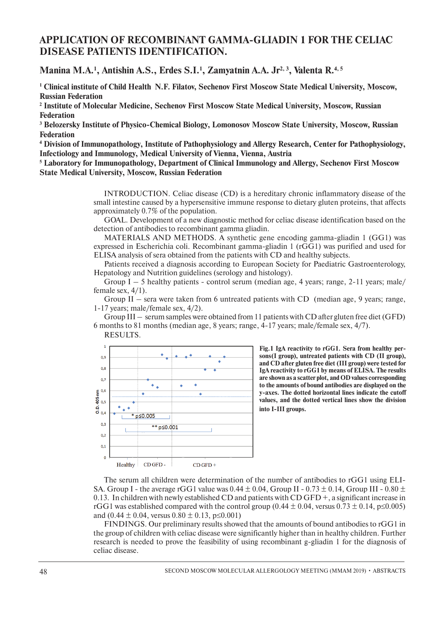## **APPLICATION OF RECOMBINANT GAMMA-GLIADIN 1 FOR THE CELIAC DISEASE PATIENTS IDENTIFICATION.**

Manina M.A.<sup>1</sup>, Antishin A.S., Erdes S.I.<sup>1</sup>, Zamyatnin A.A. Jr<sup>2, 3</sup>, Valenta R.<sup>4, 5</sup>

**1 Clinical institute of Child Health N.F. Filatov, Sechenov First Moscow State Medical University, Moscow, Russian Federation**

**2 Institute of Molecular Medicine, Sechenov First Moscow State Medical University, Moscow, Russian Federation**

**3 Belozersky Institute of Physico-Chemical Biology, Lomonosov Moscow State University, Moscow, Russian Federation**

**4 Division of Immunopathology, Institute of Pathophysiology and Allergy Research, Center for Pathophysiology, Infectiology and Immunology, Medical University of Vienna, Vienna, Austria**

**5 Laboratory for Immunopathology, Department of Clinical Immunology and Allergy, Sechenov First Moscow State Medical University, Moscow, Russian Federation**

> Introduction. Celiac disease (CD) is a hereditary chronic inflammatory disease of the small intestine caused by a hypersensitive immune response to dietary gluten proteins, that affects approximately 0.7% of the population.

> Goal. Development of a new diagnostic method for celiac disease identification based on the detection of antibodies to recombinant gamma gliadin.

> MATERIALS AND METHODS. A synthetic gene encoding gamma-gliadin  $1 \text{ (GG1)}$  was expressed in Escherichia coli. Recombinant gamma-gliadin 1 (rGG1) was purified and used for ELISA analysis of sera obtained from the patients with CD and healthy subjects.

> Patients received a diagnosis according to European Society for Paediatric Gastroenterology, Hepatology and Nutrition guidelines (serology and histology).

> Group  $I - 5$  healthy patients - control serum (median age, 4 years; range, 2-11 years; male/ female sex, 4/1).

> Group II – sera were taken from 6 untreated patients with CD (median age, 9 years; range, 1-17 years; male/female sex, 4/2).

> Group III – serum samples were obtained from 11 patients with CD after gluten free diet (GFD) 6 months to 81 months (median age, 8 years; range, 4-17 years; male/female sex, 4/7).





**Fig.1 IgA reactivity to rGG1. Sera from healthy persons(I group), untreated patients with CD (II group), and CD after gluten free diet (III group) were tested for IgA reactivity to rGG1 by means of ELISA. The results are shown as a scatter plot, and OD values corresponding to the amounts of bound antibodies are displayed on the y-axes. The dotted horizontal lines indicate the cutoff values, and the dotted vertical lines show the division into I-III groups.**

The serum all children were determination of the number of antibodies to rGG1 using ELI-SA. Group I - the average rGG1 value was  $0.44 \pm 0.04$ , Group II -  $0.73 \pm 0.14$ , Group III -  $0.80 \pm$ 0.13. In children with newly established CD and patients with CD GFD  $+$ , a significant increase in rGG1 was established compared with the control group (0.44  $\pm$  0.04, versus 0.73  $\pm$  0.14, p≤0.005) and  $(0.44 \pm 0.04$ , versus  $0.80 \pm 0.13$ , p $\leq 0.001$ )

Findings. Our preliminary results showed that the amounts of bound antibodies to rGG1 in the group of children with celiac disease were significantly higher than in healthy children. Further research is needed to prove the feasibility of using recombinant g-gliadin 1 for the diagnosis of celiac disease.